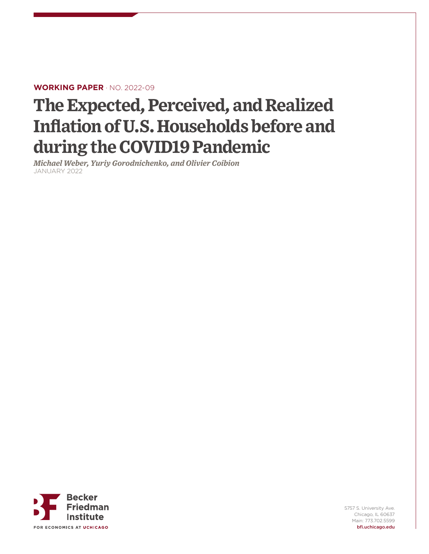#### **WORKING PAPER** · NO. 2022-09

# **The Expected, Perceived, and Realized Inflation of U.S. Households before and during the COVID19 Pandemic**

*Michael Weber, Yuriy Gorodnichenko, and Olivier Coibion* JANUARY 2022



5757 S. University Ave. Chicago, IL 60637 Main: 773.702.5599 bfi.uchicago.edu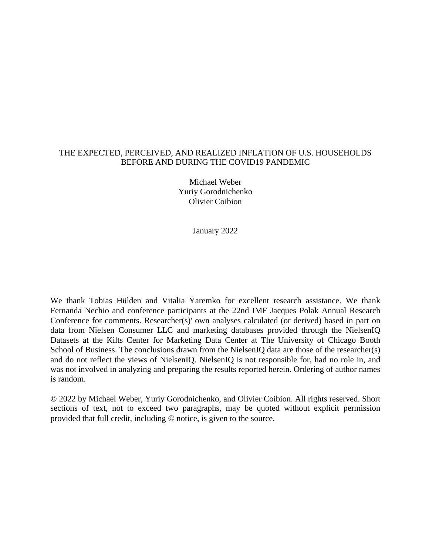#### THE EXPECTED, PERCEIVED, AND REALIZED INFLATION OF U.S. HOUSEHOLDS BEFORE AND DURING THE COVID19 PANDEMIC

Michael Weber Yuriy Gorodnichenko Olivier Coibion

January 2022

We thank Tobias Hülden and Vitalia Yaremko for excellent research assistance. We thank Fernanda Nechio and conference participants at the 22nd IMF Jacques Polak Annual Research Conference for comments. Researcher(s)' own analyses calculated (or derived) based in part on data from Nielsen Consumer LLC and marketing databases provided through the NielsenIQ Datasets at the Kilts Center for Marketing Data Center at The University of Chicago Booth School of Business. The conclusions drawn from the NielsenIQ data are those of the researcher(s) and do not reflect the views of NielsenIQ. NielsenIQ is not responsible for, had no role in, and was not involved in analyzing and preparing the results reported herein. Ordering of author names is random.

© 2022 by Michael Weber, Yuriy Gorodnichenko, and Olivier Coibion. All rights reserved. Short sections of text, not to exceed two paragraphs, may be quoted without explicit permission provided that full credit, including © notice, is given to the source.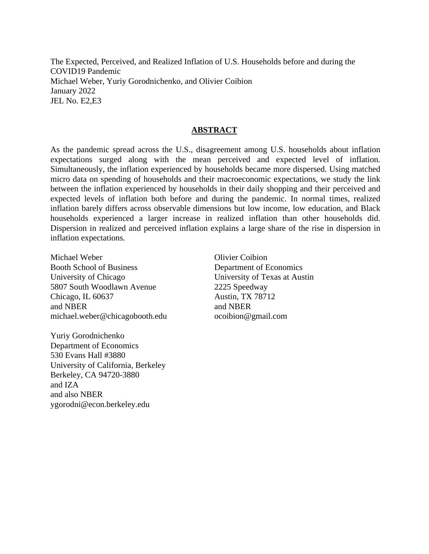The Expected, Perceived, and Realized Inflation of U.S. Households before and during the COVID19 Pandemic Michael Weber, Yuriy Gorodnichenko, and Olivier Coibion January 2022 JEL No. E2,E3

#### **ABSTRACT**

As the pandemic spread across the U.S., disagreement among U.S. households about inflation expectations surged along with the mean perceived and expected level of inflation. Simultaneously, the inflation experienced by households became more dispersed. Using matched micro data on spending of households and their macroeconomic expectations, we study the link between the inflation experienced by households in their daily shopping and their perceived and expected levels of inflation both before and during the pandemic. In normal times, realized inflation barely differs across observable dimensions but low income, low education, and Black households experienced a larger increase in realized inflation than other households did. Dispersion in realized and perceived inflation explains a large share of the rise in dispersion in inflation expectations.

Michael Weber Booth School of Business University of Chicago 5807 South Woodlawn Avenue Chicago, IL 60637 and NBER michael.weber@chicagobooth.edu

Yuriy Gorodnichenko Department of Economics 530 Evans Hall #3880 University of California, Berkeley Berkeley, CA 94720-3880 and IZA and also NBER ygorodni@econ.berkeley.edu

Olivier Coibion Department of Economics University of Texas at Austin 2225 Speedway Austin, TX 78712 and NBER ocoibion@gmail.com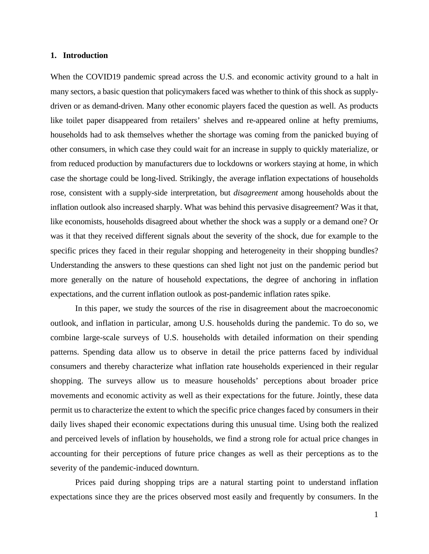#### **1. Introduction**

When the COVID19 pandemic spread across the U.S. and economic activity ground to a halt in many sectors, a basic question that policymakers faced was whether to think of this shock as supplydriven or as demand-driven. Many other economic players faced the question as well. As products like toilet paper disappeared from retailers' shelves and re-appeared online at hefty premiums, households had to ask themselves whether the shortage was coming from the panicked buying of other consumers, in which case they could wait for an increase in supply to quickly materialize, or from reduced production by manufacturers due to lockdowns or workers staying at home, in which case the shortage could be long-lived. Strikingly, the average inflation expectations of households rose, consistent with a supply-side interpretation, but *disagreement* among households about the inflation outlook also increased sharply. What was behind this pervasive disagreement? Was it that, like economists, households disagreed about whether the shock was a supply or a demand one? Or was it that they received different signals about the severity of the shock, due for example to the specific prices they faced in their regular shopping and heterogeneity in their shopping bundles? Understanding the answers to these questions can shed light not just on the pandemic period but more generally on the nature of household expectations, the degree of anchoring in inflation expectations, and the current inflation outlook as post-pandemic inflation rates spike.

In this paper, we study the sources of the rise in disagreement about the macroeconomic outlook, and inflation in particular, among U.S. households during the pandemic. To do so, we combine large-scale surveys of U.S. households with detailed information on their spending patterns. Spending data allow us to observe in detail the price patterns faced by individual consumers and thereby characterize what inflation rate households experienced in their regular shopping. The surveys allow us to measure households' perceptions about broader price movements and economic activity as well as their expectations for the future. Jointly, these data permit us to characterize the extent to which the specific price changes faced by consumers in their daily lives shaped their economic expectations during this unusual time. Using both the realized and perceived levels of inflation by households, we find a strong role for actual price changes in accounting for their perceptions of future price changes as well as their perceptions as to the severity of the pandemic-induced downturn.

Prices paid during shopping trips are a natural starting point to understand inflation expectations since they are the prices observed most easily and frequently by consumers. In the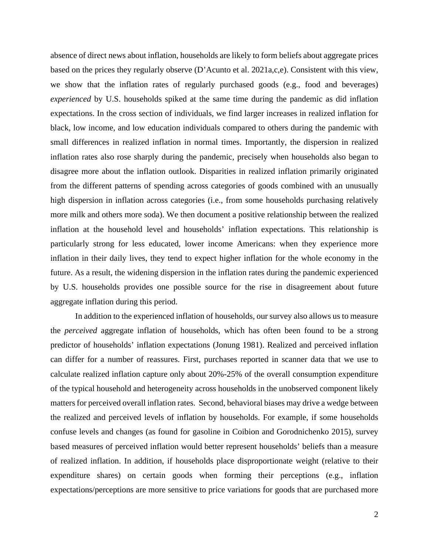absence of direct news about inflation, households are likely to form beliefs about aggregate prices based on the prices they regularly observe (D'Acunto et al. 2021a,c,e). Consistent with this view, we show that the inflation rates of regularly purchased goods (e.g., food and beverages) *experienced* by U.S. households spiked at the same time during the pandemic as did inflation expectations. In the cross section of individuals, we find larger increases in realized inflation for black, low income, and low education individuals compared to others during the pandemic with small differences in realized inflation in normal times. Importantly, the dispersion in realized inflation rates also rose sharply during the pandemic, precisely when households also began to disagree more about the inflation outlook. Disparities in realized inflation primarily originated from the different patterns of spending across categories of goods combined with an unusually high dispersion in inflation across categories (i.e., from some households purchasing relatively more milk and others more soda). We then document a positive relationship between the realized inflation at the household level and households' inflation expectations. This relationship is particularly strong for less educated, lower income Americans: when they experience more inflation in their daily lives, they tend to expect higher inflation for the whole economy in the future. As a result, the widening dispersion in the inflation rates during the pandemic experienced by U.S. households provides one possible source for the rise in disagreement about future aggregate inflation during this period.

In addition to the experienced inflation of households, our survey also allows us to measure the *perceived* aggregate inflation of households, which has often been found to be a strong predictor of households' inflation expectations (Jonung 1981). Realized and perceived inflation can differ for a number of reassures. First, purchases reported in scanner data that we use to calculate realized inflation capture only about 20%-25% of the overall consumption expenditure of the typical household and heterogeneity across households in the unobserved component likely matters for perceived overall inflation rates. Second, behavioral biases may drive a wedge between the realized and perceived levels of inflation by households. For example, if some households confuse levels and changes (as found for gasoline in Coibion and Gorodnichenko 2015), survey based measures of perceived inflation would better represent households' beliefs than a measure of realized inflation. In addition, if households place disproportionate weight (relative to their expenditure shares) on certain goods when forming their perceptions (e.g., inflation expectations/perceptions are more sensitive to price variations for goods that are purchased more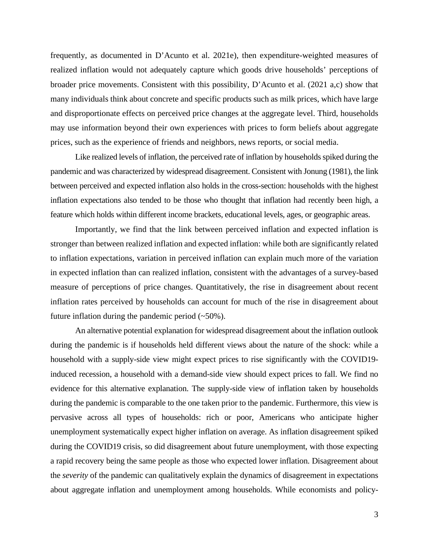frequently, as documented in D'Acunto et al. 2021e), then expenditure-weighted measures of realized inflation would not adequately capture which goods drive households' perceptions of broader price movements. Consistent with this possibility, D'Acunto et al. (2021 a,c) show that many individuals think about concrete and specific products such as milk prices, which have large and disproportionate effects on perceived price changes at the aggregate level. Third, households may use information beyond their own experiences with prices to form beliefs about aggregate prices, such as the experience of friends and neighbors, news reports, or social media.

Like realized levels of inflation, the perceived rate of inflation by households spiked during the pandemic and was characterized by widespread disagreement. Consistent with Jonung (1981), the link between perceived and expected inflation also holds in the cross-section: households with the highest inflation expectations also tended to be those who thought that inflation had recently been high, a feature which holds within different income brackets, educational levels, ages, or geographic areas.

Importantly, we find that the link between perceived inflation and expected inflation is stronger than between realized inflation and expected inflation: while both are significantly related to inflation expectations, variation in perceived inflation can explain much more of the variation in expected inflation than can realized inflation, consistent with the advantages of a survey-based measure of perceptions of price changes. Quantitatively, the rise in disagreement about recent inflation rates perceived by households can account for much of the rise in disagreement about future inflation during the pandemic period  $(-50\%)$ .

An alternative potential explanation for widespread disagreement about the inflation outlook during the pandemic is if households held different views about the nature of the shock: while a household with a supply-side view might expect prices to rise significantly with the COVID19 induced recession, a household with a demand-side view should expect prices to fall. We find no evidence for this alternative explanation. The supply-side view of inflation taken by households during the pandemic is comparable to the one taken prior to the pandemic. Furthermore, this view is pervasive across all types of households: rich or poor, Americans who anticipate higher unemployment systematically expect higher inflation on average. As inflation disagreement spiked during the COVID19 crisis, so did disagreement about future unemployment, with those expecting a rapid recovery being the same people as those who expected lower inflation. Disagreement about the *severity* of the pandemic can qualitatively explain the dynamics of disagreement in expectations about aggregate inflation and unemployment among households. While economists and policy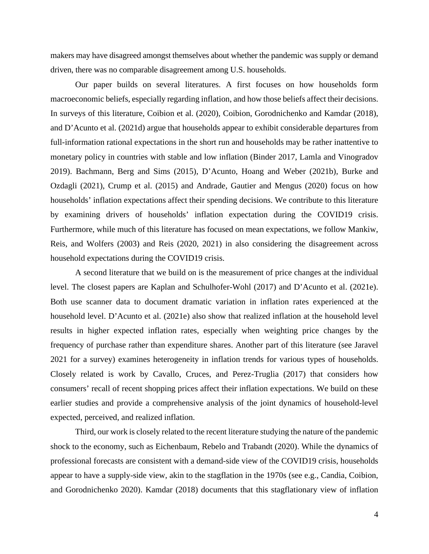makers may have disagreed amongst themselves about whether the pandemic was supply or demand driven, there was no comparable disagreement among U.S. households.

Our paper builds on several literatures. A first focuses on how households form macroeconomic beliefs, especially regarding inflation, and how those beliefs affect their decisions. In surveys of this literature, Coibion et al. (2020), Coibion, Gorodnichenko and Kamdar (2018), and D'Acunto et al. (2021d) argue that households appear to exhibit considerable departures from full-information rational expectations in the short run and households may be rather inattentive to monetary policy in countries with stable and low inflation (Binder 2017, Lamla and Vinogradov 2019). Bachmann, Berg and Sims (2015), D'Acunto, Hoang and Weber (2021b), Burke and Ozdagli (2021), Crump et al. (2015) and Andrade, Gautier and Mengus (2020) focus on how households' inflation expectations affect their spending decisions. We contribute to this literature by examining drivers of households' inflation expectation during the COVID19 crisis. Furthermore, while much of this literature has focused on mean expectations, we follow Mankiw, Reis, and Wolfers (2003) and Reis (2020, 2021) in also considering the disagreement across household expectations during the COVID19 crisis.

A second literature that we build on is the measurement of price changes at the individual level. The closest papers are Kaplan and Schulhofer-Wohl (2017) and D'Acunto et al. (2021e). Both use scanner data to document dramatic variation in inflation rates experienced at the household level. D'Acunto et al. (2021e) also show that realized inflation at the household level results in higher expected inflation rates, especially when weighting price changes by the frequency of purchase rather than expenditure shares. Another part of this literature (see Jaravel 2021 for a survey) examines heterogeneity in inflation trends for various types of households. Closely related is work by Cavallo, Cruces, and Perez-Truglia (2017) that considers how consumers' recall of recent shopping prices affect their inflation expectations. We build on these earlier studies and provide a comprehensive analysis of the joint dynamics of household-level expected, perceived, and realized inflation.

Third, our work is closely related to the recent literature studying the nature of the pandemic shock to the economy, such as Eichenbaum, Rebelo and Trabandt (2020). While the dynamics of professional forecasts are consistent with a demand-side view of the COVID19 crisis, households appear to have a supply-side view, akin to the stagflation in the 1970s (see e.g., Candia, Coibion, and Gorodnichenko 2020). Kamdar (2018) documents that this stagflationary view of inflation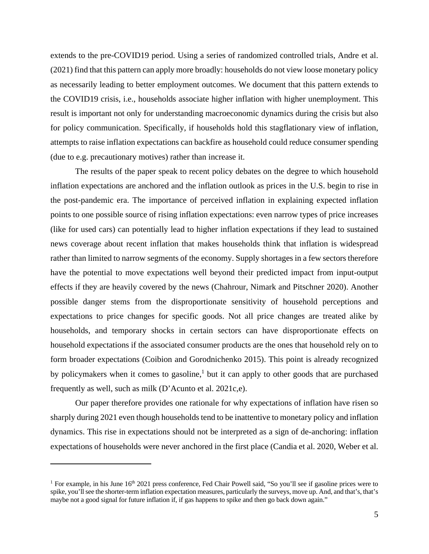extends to the pre-COVID19 period. Using a series of randomized controlled trials, Andre et al. (2021) find that this pattern can apply more broadly: households do not view loose monetary policy as necessarily leading to better employment outcomes. We document that this pattern extends to the COVID19 crisis, i.e., households associate higher inflation with higher unemployment. This result is important not only for understanding macroeconomic dynamics during the crisis but also for policy communication. Specifically, if households hold this stagflationary view of inflation, attempts to raise inflation expectations can backfire as household could reduce consumer spending (due to e.g. precautionary motives) rather than increase it.

The results of the paper speak to recent policy debates on the degree to which household inflation expectations are anchored and the inflation outlook as prices in the U.S. begin to rise in the post-pandemic era. The importance of perceived inflation in explaining expected inflation points to one possible source of rising inflation expectations: even narrow types of price increases (like for used cars) can potentially lead to higher inflation expectations if they lead to sustained news coverage about recent inflation that makes households think that inflation is widespread rather than limited to narrow segments of the economy. Supply shortages in a few sectors therefore have the potential to move expectations well beyond their predicted impact from input-output effects if they are heavily covered by the news (Chahrour, Nimark and Pitschner 2020). Another possible danger stems from the disproportionate sensitivity of household perceptions and expectations to price changes for specific goods. Not all price changes are treated alike by households, and temporary shocks in certain sectors can have disproportionate effects on household expectations if the associated consumer products are the ones that household rely on to form broader expectations (Coibion and Gorodnichenko 2015). This point is already recognized by policymakers when it comes to gasoline,<sup>1</sup> but it can apply to other goods that are purchased frequently as well, such as milk (D'Acunto et al. 2021c,e).

Our paper therefore provides one rationale for why expectations of inflation have risen so sharply during 2021 even though households tend to be inattentive to monetary policy and inflation dynamics. This rise in expectations should not be interpreted as a sign of de-anchoring: inflation expectations of households were never anchored in the first place (Candia et al. 2020, Weber et al.

<sup>&</sup>lt;sup>1</sup> For example, in his June  $16<sup>th</sup> 2021$  press conference, Fed Chair Powell said, "So you'll see if gasoline prices were to spike, you'll see the shorter-term inflation expectation measures, particularly the surveys, move up. And, and that's, that's maybe not a good signal for future inflation if, if gas happens to spike and then go back down again."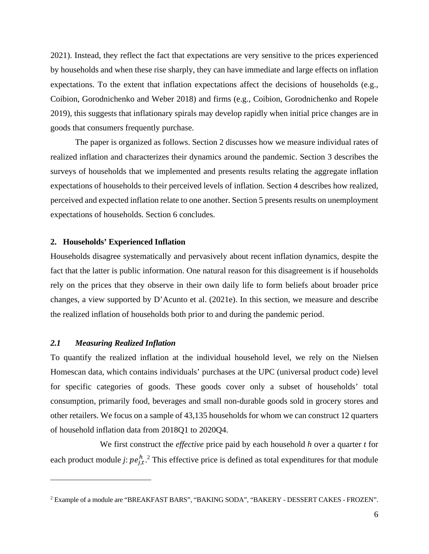2021). Instead, they reflect the fact that expectations are very sensitive to the prices experienced by households and when these rise sharply, they can have immediate and large effects on inflation expectations. To the extent that inflation expectations affect the decisions of households (e.g., Coibion, Gorodnichenko and Weber 2018) and firms (e.g., Coibion, Gorodnichenko and Ropele 2019), this suggests that inflationary spirals may develop rapidly when initial price changes are in goods that consumers frequently purchase.

The paper is organized as follows. Section 2 discusses how we measure individual rates of realized inflation and characterizes their dynamics around the pandemic. Section 3 describes the surveys of households that we implemented and presents results relating the aggregate inflation expectations of households to their perceived levels of inflation. Section 4 describes how realized, perceived and expected inflation relate to one another. Section 5 presents results on unemployment expectations of households. Section 6 concludes.

#### **2. Households' Experienced Inflation**

Households disagree systematically and pervasively about recent inflation dynamics, despite the fact that the latter is public information. One natural reason for this disagreement is if households rely on the prices that they observe in their own daily life to form beliefs about broader price changes, a view supported by D'Acunto et al. (2021e). In this section, we measure and describe the realized inflation of households both prior to and during the pandemic period.

#### *2.1 Measuring Realized Inflation*

To quantify the realized inflation at the individual household level, we rely on the Nielsen Homescan data, which contains individuals' purchases at the UPC (universal product code) level for specific categories of goods. These goods cover only a subset of households' total consumption, primarily food, beverages and small non-durable goods sold in grocery stores and other retailers. We focus on a sample of 43,135 households for whom we can construct 12 quarters of household inflation data from 2018Q1 to 2020Q4.

We first construct the *effective* price paid by each household *h* over a quarter *t* for each product module *j*:  $pe^{h}_{j,t}$ <sup>2</sup>. This effective price is defined as total expenditures for that module

<sup>2</sup> Example of a module are "BREAKFAST BARS", "BAKING SODA", "BAKERY - DESSERT CAKES - FROZEN".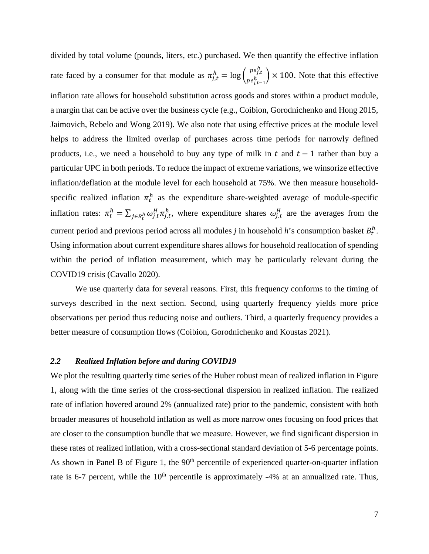divided by total volume (pounds, liters, etc.) purchased. We then quantify the effective inflation rate faced by a consumer for that module as  $\pi_{j,t}^h = \log \left( \frac{pe_{j,t}^h}{pe_{j,t}^h} \right)$  $\left(\frac{P^2 f_i t}{P e_{j,t-1}^h}\right)$  × 100. Note that this effective inflation rate allows for household substitution across goods and stores within a product module, a margin that can be active over the business cycle (e.g., Coibion, Gorodnichenko and Hong 2015, Jaimovich, Rebelo and Wong 2019). We also note that using effective prices at the module level helps to address the limited overlap of purchases across time periods for narrowly defined products, i.e., we need a household to buy any type of milk in  $t$  and  $t - 1$  rather than buy a particular UPC in both periods. To reduce the impact of extreme variations, we winsorize effective inflation/deflation at the module level for each household at 75%. We then measure householdspecific realized inflation  $\pi_t^h$  as the expenditure share-weighted average of module-specific inflation rates:  $\pi_t^h = \sum_{j \in B_t^h} \omega_{j,t}^H \pi_{j,t}^h$  $\int_{j\in B_t^h} \omega_{j,t}^H \pi_{j,t}^h$ , where expenditure shares  $\omega_{j,t}^H$  are the averages from the current period and previous period across all modules  $j$  in household  $h$ 's consumption basket  $B_t^h$ . Using information about current expenditure shares allows for household reallocation of spending within the period of inflation measurement, which may be particularly relevant during the COVID19 crisis (Cavallo 2020).

We use quarterly data for several reasons. First, this frequency conforms to the timing of surveys described in the next section. Second, using quarterly frequency yields more price observations per period thus reducing noise and outliers. Third, a quarterly frequency provides a better measure of consumption flows (Coibion, Gorodnichenko and Koustas 2021).

#### *2.2 Realized Inflation before and during COVID19*

We plot the resulting quarterly time series of the Huber robust mean of realized inflation in Figure [1,](#page-30-0) along with the time series of the cross-sectional dispersion in realized inflation. The realized rate of inflation hovered around 2% (annualized rate) prior to the pandemic, consistent with both broader measures of household inflation as well as more narrow ones focusing on food prices that are closer to the consumption bundle that we measure. However, we find significant dispersion in these rates of realized inflation, with a cross-sectional standard deviation of 5-6 percentage points. As shown in Panel B of Figure 1, the  $90<sup>th</sup>$  percentile of experienced quarter-on-quarter inflation rate is 6-7 percent, while the  $10<sup>th</sup>$  percentile is approximately -4% at an annualized rate. Thus,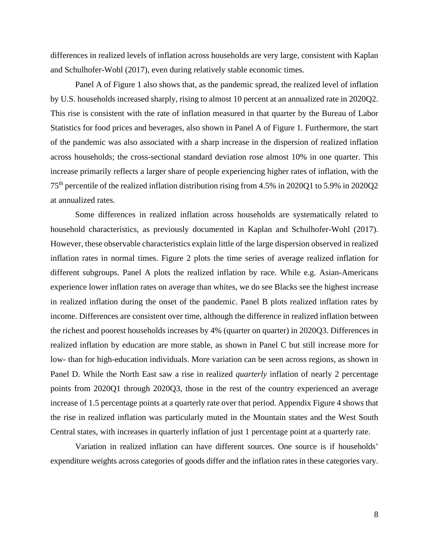differences in realized levels of inflation across households are very large, consistent with Kaplan and Schulhofer-Wohl (2017), even during relatively stable economic times.

Panel A of [Figure 1](#page-30-0) also shows that, as the pandemic spread, the realized level of inflation by U.S. households increased sharply, rising to almost 10 percent at an annualized rate in 2020Q2. This rise is consistent with the rate of inflation measured in that quarter by the Bureau of Labor Statistics for food prices and beverages, also shown in Panel A of [Figure 1.](#page-30-0) Furthermore, the start of the pandemic was also associated with a sharp increase in the dispersion of realized inflation across households; the cross-sectional standard deviation rose almost 10% in one quarter. This increase primarily reflects a larger share of people experiencing higher rates of inflation, with the 75th percentile of the realized inflation distribution rising from 4.5% in 2020Q1 to 5.9% in 2020Q2 at annualized rates.

Some differences in realized inflation across households are systematically related to household characteristics, as previously documented in Kaplan and Schulhofer-Wohl (2017). However, these observable characteristics explain little of the large dispersion observed in realized inflation rates in normal times. Figure 2 plots the time series of average realized inflation for different subgroups. Panel A plots the realized inflation by race. While e.g. Asian-Americans experience lower inflation rates on average than whites, we do see Blacks see the highest increase in realized inflation during the onset of the pandemic. Panel B plots realized inflation rates by income. Differences are consistent over time, although the difference in realized inflation between the richest and poorest households increases by 4% (quarter on quarter) in 2020Q3. Differences in realized inflation by education are more stable, as shown in Panel C but still increase more for low- than for high-education individuals. More variation can be seen across regions, as shown in Panel D. While the North East saw a rise in realized *quarterly* inflation of nearly 2 percentage points from 2020Q1 through 2020Q3, those in the rest of the country experienced an average increase of 1.5 percentage points at a quarterly rate over that period. Appendix Figure 4 shows that the rise in realized inflation was particularly muted in the Mountain states and the West South Central states, with increases in quarterly inflation of just 1 percentage point at a quarterly rate.

Variation in realized inflation can have different sources. One source is if households' expenditure weights across categories of goods differ and the inflation rates in these categories vary.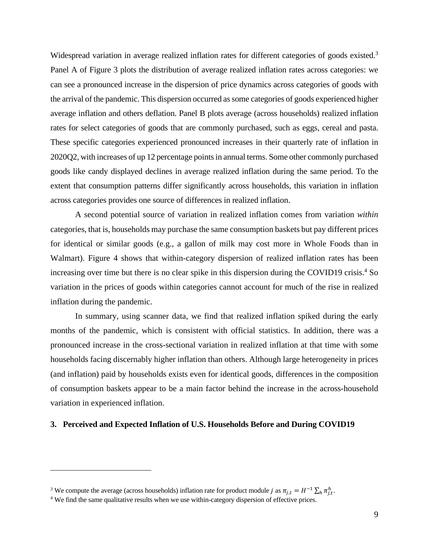Widespread variation in average realized inflation rates for different categories of goods existed.<sup>3</sup> Panel A of [Figure 3](#page-32-0) plots the distribution of average realized inflation rates across categories: we can see a pronounced increase in the dispersion of price dynamics across categories of goods with the arrival of the pandemic. This dispersion occurred as some categories of goods experienced higher average inflation and others deflation. Panel B plots average (across households) realized inflation rates for select categories of goods that are commonly purchased, such as eggs, cereal and pasta. These specific categories experienced pronounced increases in their quarterly rate of inflation in 2020Q2, with increases of up 12 percentage points in annual terms. Some other commonly purchased goods like candy displayed declines in average realized inflation during the same period. To the extent that consumption patterns differ significantly across households, this variation in inflation across categories provides one source of differences in realized inflation.

A second potential source of variation in realized inflation comes from variation *within* categories, that is, households may purchase the same consumption baskets but pay different prices for identical or similar goods (e.g., a gallon of milk may cost more in Whole Foods than in Walmart). [Figure 4](#page-33-0) shows that within-category dispersion of realized inflation rates has been increasing over time but there is no clear spike in this dispersion during the COVID19 crisis.<sup>4</sup> So variation in the prices of goods within categories cannot account for much of the rise in realized inflation during the pandemic.

In summary, using scanner data, we find that realized inflation spiked during the early months of the pandemic, which is consistent with official statistics. In addition, there was a pronounced increase in the cross-sectional variation in realized inflation at that time with some households facing discernably higher inflation than others. Although large heterogeneity in prices (and inflation) paid by households exists even for identical goods, differences in the composition of consumption baskets appear to be a main factor behind the increase in the across-household variation in experienced inflation.

#### **3. Perceived and Expected Inflation of U.S. Households Before and During COVID19**

<sup>&</sup>lt;sup>3</sup> We compute the average (across households) inflation rate for product module *j* as  $\pi_{j,t} = H^{-1} \sum_h \pi_{j,t}^h$ 

<sup>&</sup>lt;sup>4</sup> We find the same qualitative results when we use within-category dispersion of effective prices.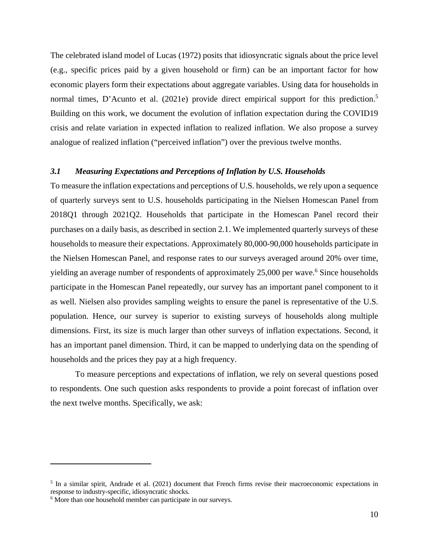The celebrated island model of Lucas (1972) posits that idiosyncratic signals about the price level (e.g., specific prices paid by a given household or firm) can be an important factor for how economic players form their expectations about aggregate variables. Using data for households in normal times, D'Acunto et al. (2021e) provide direct empirical support for this prediction.<sup>5</sup> Building on this work, we document the evolution of inflation expectation during the COVID19 crisis and relate variation in expected inflation to realized inflation. We also propose a survey analogue of realized inflation ("perceived inflation") over the previous twelve months.

#### *3.1 Measuring Expectations and Perceptions of Inflation by U.S. Households*

To measure the inflation expectations and perceptions of U.S. households, we rely upon a sequence of quarterly surveys sent to U.S. households participating in the Nielsen Homescan Panel from 2018Q1 through 2021Q2. Households that participate in the Homescan Panel record their purchases on a daily basis, as described in section 2.1. We implemented quarterly surveys of these households to measure their expectations. Approximately 80,000-90,000 households participate in the Nielsen Homescan Panel, and response rates to our surveys averaged around 20% over time, yielding an average number of respondents of approximately 25,000 per wave. <sup>6</sup> Since households participate in the Homescan Panel repeatedly, our survey has an important panel component to it as well. Nielsen also provides sampling weights to ensure the panel is representative of the U.S. population. Hence, our survey is superior to existing surveys of households along multiple dimensions. First, its size is much larger than other surveys of inflation expectations. Second, it has an important panel dimension. Third, it can be mapped to underlying data on the spending of households and the prices they pay at a high frequency.

To measure perceptions and expectations of inflation, we rely on several questions posed to respondents. One such question asks respondents to provide a point forecast of inflation over the next twelve months. Specifically, we ask:

 $5$  In a similar spirit, Andrade et al. (2021) document that French firms revise their macroeconomic expectations in response to industry-specific, idiosyncratic shocks.

 $<sup>6</sup>$  More than one household member can participate in our surveys.</sup>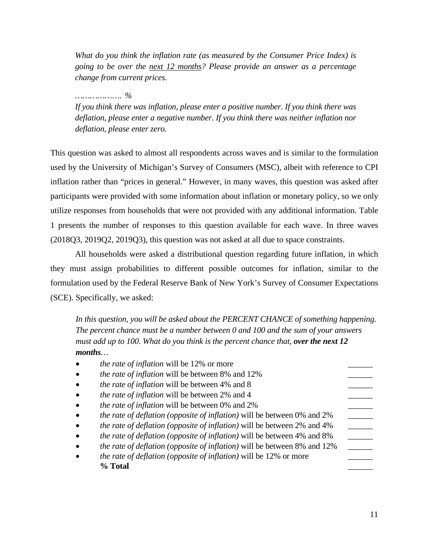*What do you think the inflation rate (as measured by the Consumer Price Index) is going to be over the next 12 months? Please provide an answer as a percentage change from current prices.*

## *………………. %*

*If you think there was inflation, please enter a positive number. If you think there was deflation, please enter a negative number. If you think there was neither inflation nor deflation, please enter zero.*

This question was asked to almost all respondents across waves and is similar to the formulation used by the University of Michigan's Survey of Consumers (MSC), albeit with reference to CPI inflation rather than "prices in general." However, in many waves, this question was asked after participants were provided with some information about inflation or monetary policy, so we only utilize responses from households that were not provided with any additional information. Table 1 presents the number of responses to this question available for each wave. In three waves (2018Q3, 2019Q2, 2019Q3), this question was not asked at all due to space constraints.

All households were asked a distributional question regarding future inflation, in which they must assign probabilities to different possible outcomes for inflation, similar to the formulation used by the Federal Reserve Bank of New York's Survey of Consumer Expectations (SCE). Specifically, we asked:

*In this question, you will be asked about the PERCENT CHANCE of something happening. The percent chance must be a number between 0 and 100 and the sum of your answers must add up to 100. What do you think is the percent chance that, <i>over the next 12 months…* 

| <i>the rate of inflation</i> will be 12% or more                         |  |
|--------------------------------------------------------------------------|--|
| the rate of inflation will be between 8% and 12%                         |  |
| <i>the rate of inflation</i> will be between 4% and 8                    |  |
| the rate of inflation will be between 2% and 4                           |  |
| <i>the rate of inflation</i> will be between 0% and 2%                   |  |
| the rate of deflation (opposite of inflation) will be between 0% and 2%  |  |
| the rate of deflation (opposite of inflation) will be between 2% and 4%  |  |
| the rate of deflation (opposite of inflation) will be between 4% and 8%  |  |
| the rate of deflation (opposite of inflation) will be between 8% and 12% |  |
| <i>the rate of deflation (opposite of inflation)</i> will be 12% or more |  |
| % Total                                                                  |  |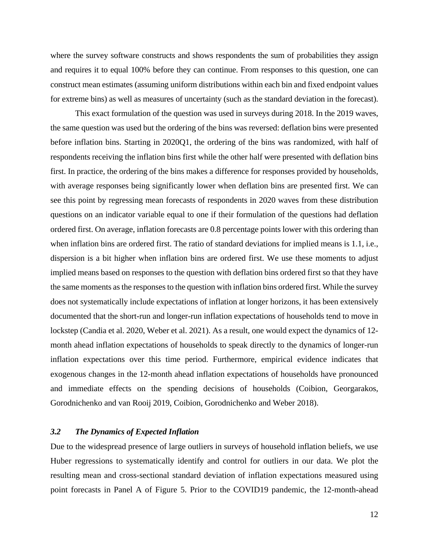where the survey software constructs and shows respondents the sum of probabilities they assign and requires it to equal 100% before they can continue. From responses to this question, one can construct mean estimates (assuming uniform distributions within each bin and fixed endpoint values for extreme bins) as well as measures of uncertainty (such as the standard deviation in the forecast).

This exact formulation of the question was used in surveys during 2018. In the 2019 waves, the same question was used but the ordering of the bins was reversed: deflation bins were presented before inflation bins. Starting in 2020Q1, the ordering of the bins was randomized, with half of respondents receiving the inflation bins first while the other half were presented with deflation bins first. In practice, the ordering of the bins makes a difference for responses provided by households, with average responses being significantly lower when deflation bins are presented first. We can see this point by regressing mean forecasts of respondents in 2020 waves from these distribution questions on an indicator variable equal to one if their formulation of the questions had deflation ordered first. On average, inflation forecasts are 0.8 percentage points lower with this ordering than when inflation bins are ordered first. The ratio of standard deviations for implied means is 1.1, i.e., dispersion is a bit higher when inflation bins are ordered first. We use these moments to adjust implied means based on responses to the question with deflation bins ordered first so that they have the same moments as the responses to the question with inflation bins ordered first. While the survey does not systematically include expectations of inflation at longer horizons, it has been extensively documented that the short-run and longer-run inflation expectations of households tend to move in lockstep (Candia et al. 2020, Weber et al. 2021). As a result, one would expect the dynamics of 12 month ahead inflation expectations of households to speak directly to the dynamics of longer-run inflation expectations over this time period. Furthermore, empirical evidence indicates that exogenous changes in the 12-month ahead inflation expectations of households have pronounced and immediate effects on the spending decisions of households (Coibion, Georgarakos, Gorodnichenko and van Rooij 2019, Coibion, Gorodnichenko and Weber 2018).

#### *3.2 The Dynamics of Expected Inflation*

Due to the widespread presence of large outliers in surveys of household inflation beliefs, we use Huber regressions to systematically identify and control for outliers in our data. We plot the resulting mean and cross-sectional standard deviation of inflation expectations measured using point forecasts in Panel A of [Figure 5.](#page-34-0) Prior to the COVID19 pandemic, the 12-month-ahead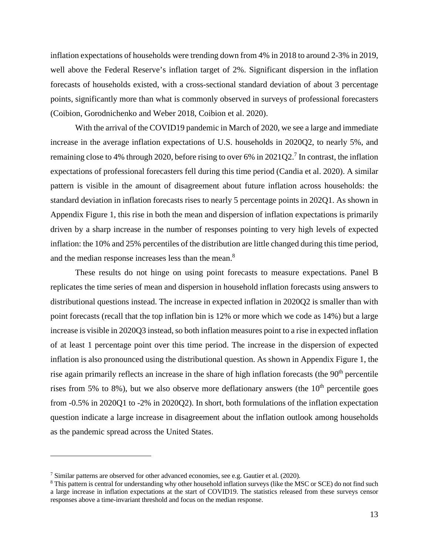inflation expectations of households were trending down from 4% in 2018 to around 2-3% in 2019, well above the Federal Reserve's inflation target of 2%. Significant dispersion in the inflation forecasts of households existed, with a cross-sectional standard deviation of about 3 percentage points, significantly more than what is commonly observed in surveys of professional forecasters (Coibion, Gorodnichenko and Weber 2018, Coibion et al. 2020).

With the arrival of the COVID19 pandemic in March of 2020, we see a large and immediate increase in the average inflation expectations of U.S. households in 2020Q2, to nearly 5%, and remaining close to 4% through 2020, before rising to over 6% in 2021Q2.<sup>7</sup> In contrast, the inflation expectations of professional forecasters fell during this time period (Candia et al. 2020). A similar pattern is visible in the amount of disagreement about future inflation across households: the standard deviation in inflation forecasts rises to nearly 5 percentage points in 202Q1. As shown in Appendix Figure 1, this rise in both the mean and dispersion of inflation expectations is primarily driven by a sharp increase in the number of responses pointing to very high levels of expected inflation: the 10% and 25% percentiles of the distribution are little changed during this time period, and the median response increases less than the mean.<sup>8</sup>

These results do not hinge on using point forecasts to measure expectations. Panel B replicates the time series of mean and dispersion in household inflation forecasts using answers to distributional questions instead. The increase in expected inflation in 2020Q2 is smaller than with point forecasts (recall that the top inflation bin is 12% or more which we code as 14%) but a large increase is visible in 2020Q3 instead, so both inflation measures point to a rise in expected inflation of at least 1 percentage point over this time period. The increase in the dispersion of expected inflation is also pronounced using the distributional question. As shown in Appendix Figure 1, the rise again primarily reflects an increase in the share of high inflation forecasts (the 90<sup>th</sup> percentile rises from 5% to 8%), but we also observe more deflationary answers (the  $10<sup>th</sup>$  percentile goes from -0.5% in 2020Q1 to -2% in 2020Q2). In short, both formulations of the inflation expectation question indicate a large increase in disagreement about the inflation outlook among households as the pandemic spread across the United States.

<sup>7</sup> Similar patterns are observed for other advanced economies, see e.g. Gautier et al. (2020).

<sup>&</sup>lt;sup>8</sup> This pattern is central for understanding why other household inflation surveys (like the MSC or SCE) do not find such a large increase in inflation expectations at the start of COVID19. The statistics released from these surveys censor responses above a time-invariant threshold and focus on the median response.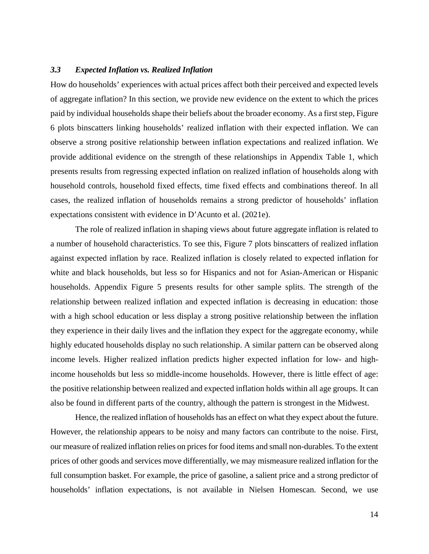#### *3.3 Expected Inflation vs. Realized Inflation*

How do households' experiences with actual prices affect both their perceived and expected levels of aggregate inflation? In this section, we provide new evidence on the extent to which the prices paid by individual households shape their beliefs about the broader economy. As a first step, Figure 6 plots binscatters linking households' realized inflation with their expected inflation. We can observe a strong positive relationship between inflation expectations and realized inflation. We provide additional evidence on the strength of these relationships in [Appendix Table 1,](#page-60-0) which presents results from regressing expected inflation on realized inflation of households along with household controls, household fixed effects, time fixed effects and combinations thereof. In all cases, the realized inflation of households remains a strong predictor of households' inflation expectations consistent with evidence in D'Acunto et al. (2021e).

The role of realized inflation in shaping views about future aggregate inflation is related to a number of household characteristics. To see this, [Figure 7](#page-36-0) plots binscatters of realized inflation against expected inflation by race. Realized inflation is closely related to expected inflation for white and black households, but less so for Hispanics and not for Asian-American or Hispanic households. [Appendix Figure 5](#page-51-0) presents results for other sample splits. The strength of the relationship between realized inflation and expected inflation is decreasing in education: those with a high school education or less display a strong positive relationship between the inflation they experience in their daily lives and the inflation they expect for the aggregate economy, while highly educated households display no such relationship. A similar pattern can be observed along income levels. Higher realized inflation predicts higher expected inflation for low- and highincome households but less so middle-income households. However, there is little effect of age: the positive relationship between realized and expected inflation holds within all age groups. It can also be found in different parts of the country, although the pattern is strongest in the Midwest.

Hence, the realized inflation of households has an effect on what they expect about the future. However, the relationship appears to be noisy and many factors can contribute to the noise. First, our measure of realized inflation relies on prices for food items and small non-durables. To the extent prices of other goods and services move differentially, we may mismeasure realized inflation for the full consumption basket. For example, the price of gasoline, a salient price and a strong predictor of households' inflation expectations, is not available in Nielsen Homescan. Second, we use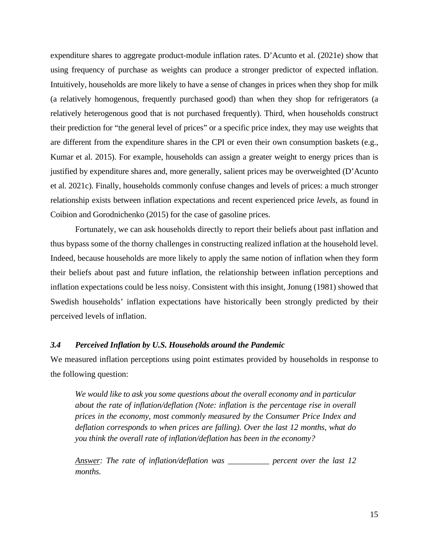expenditure shares to aggregate product-module inflation rates. D'Acunto et al. (2021e) show that using frequency of purchase as weights can produce a stronger predictor of expected inflation. Intuitively, households are more likely to have a sense of changes in prices when they shop for milk (a relatively homogenous, frequently purchased good) than when they shop for refrigerators (a relatively heterogenous good that is not purchased frequently). Third, when households construct their prediction for "the general level of prices" or a specific price index, they may use weights that are different from the expenditure shares in the CPI or even their own consumption baskets (e.g., Kumar et al. 2015). For example, households can assign a greater weight to energy prices than is justified by expenditure shares and, more generally, salient prices may be overweighted (D'Acunto et al. 2021c). Finally, households commonly confuse changes and levels of prices: a much stronger relationship exists between inflation expectations and recent experienced price *levels*, as found in Coibion and Gorodnichenko (2015) for the case of gasoline prices.

Fortunately, we can ask households directly to report their beliefs about past inflation and thus bypass some of the thorny challenges in constructing realized inflation at the household level. Indeed, because households are more likely to apply the same notion of inflation when they form their beliefs about past and future inflation, the relationship between inflation perceptions and inflation expectations could be less noisy. Consistent with this insight, Jonung (1981) showed that Swedish households' inflation expectations have historically been strongly predicted by their perceived levels of inflation.

#### *3.4 Perceived Inflation by U.S. Households around the Pandemic*

We measured inflation perceptions using point estimates provided by households in response to the following question:

We would like to ask you some questions about the overall economy and in particular *about the rate of inflation/deflation (Note: inflation is the percentage rise in overall prices in the economy, most commonly measured by the Consumer Price Index and deflation corresponds to when prices are falling). Over the last 12 months, what do you think the overall rate of inflation/deflation has been in the economy?* 

*Answer: The rate of inflation/deflation was \_\_\_\_\_\_\_\_\_\_ percent over the last 12 months.*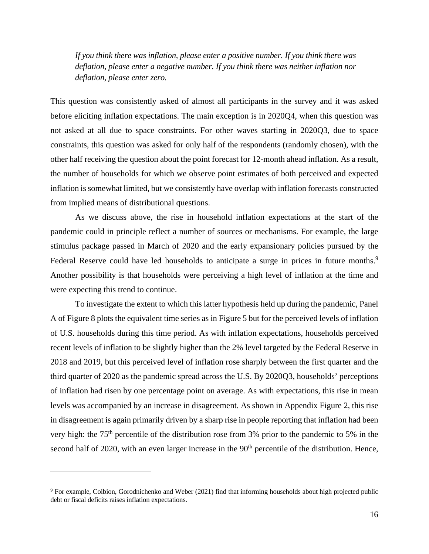*If you think there was inflation, please enter a positive number. If you think there was deflation, please enter a negative number. If you think there was neither inflation nor deflation, please enter zero.* 

This question was consistently asked of almost all participants in the survey and it was asked before eliciting inflation expectations. The main exception is in 2020Q4, when this question was not asked at all due to space constraints. For other waves starting in 2020Q3, due to space constraints, this question was asked for only half of the respondents (randomly chosen), with the other half receiving the question about the point forecast for 12-month ahead inflation. As a result, the number of households for which we observe point estimates of both perceived and expected inflation is somewhat limited, but we consistently have overlap with inflation forecasts constructed from implied means of distributional questions.

As we discuss above, the rise in household inflation expectations at the start of the pandemic could in principle reflect a number of sources or mechanisms. For example, the large stimulus package passed in March of 2020 and the early expansionary policies pursued by the Federal Reserve could have led households to anticipate a surge in prices in future months.<sup>9</sup> Another possibility is that households were perceiving a high level of inflation at the time and were expecting this trend to continue.

To investigate the extent to which this latter hypothesis held up during the pandemic, Panel A of [Figure 8](#page-37-0) plots the equivalent time series as in [Figure 5](#page-34-0) but for the perceived levels of inflation of U.S. households during this time period. As with inflation expectations, households perceived recent levels of inflation to be slightly higher than the 2% level targeted by the Federal Reserve in 2018 and 2019, but this perceived level of inflation rose sharply between the first quarter and the third quarter of 2020 as the pandemic spread across the U.S. By 2020Q3, households' perceptions of inflation had risen by one percentage point on average. As with expectations, this rise in mean levels was accompanied by an increase in disagreement. As shown in [Appendix Figure 2,](#page-48-0) this rise in disagreement is again primarily driven by a sharp rise in people reporting that inflation had been very high: the 75th percentile of the distribution rose from 3% prior to the pandemic to 5% in the second half of 2020, with an even larger increase in the 90<sup>th</sup> percentile of the distribution. Hence,

<sup>&</sup>lt;sup>9</sup> For example, Coibion, Gorodnichenko and Weber (2021) find that informing households about high projected public debt or fiscal deficits raises inflation expectations.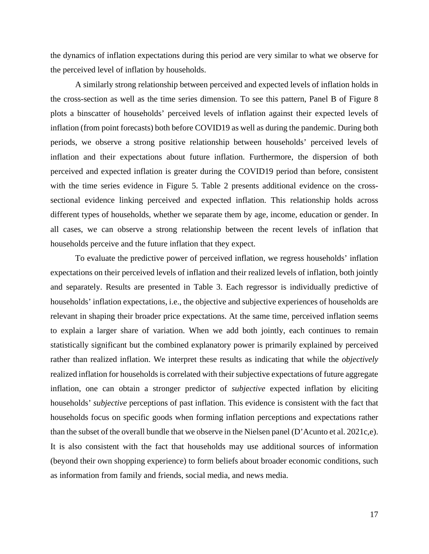the dynamics of inflation expectations during this period are very similar to what we observe for the perceived level of inflation by households.

A similarly strong relationship between perceived and expected levels of inflation holds in the cross-section as well as the time series dimension. To see this pattern, Panel B of [Figure 8](#page-37-0)  plots a binscatter of households' perceived levels of inflation against their expected levels of inflation (from point forecasts) both before COVID19 as well as during the pandemic. During both periods, we observe a strong positive relationship between households' perceived levels of inflation and their expectations about future inflation. Furthermore, the dispersion of both perceived and expected inflation is greater during the COVID19 period than before, consistent with the time series evidence in [Figure 5.](#page-34-0) Table 2 presents additional evidence on the crosssectional evidence linking perceived and expected inflation. This relationship holds across different types of households, whether we separate them by age, income, education or gender. In all cases, we can observe a strong relationship between the recent levels of inflation that households perceive and the future inflation that they expect.

To evaluate the predictive power of perceived inflation, we regress households' inflation expectations on their perceived levels of inflation and their realized levels of inflation, both jointly and separately. Results are presented in [Table 3.](#page-44-0) Each regressor is individually predictive of households' inflation expectations, i.e., the objective and subjective experiences of households are relevant in shaping their broader price expectations. At the same time, perceived inflation seems to explain a larger share of variation. When we add both jointly, each continues to remain statistically significant but the combined explanatory power is primarily explained by perceived rather than realized inflation. We interpret these results as indicating that while the *objectively* realized inflation for households is correlated with their subjective expectations of future aggregate inflation, one can obtain a stronger predictor of *subjective* expected inflation by eliciting households' *subjective* perceptions of past inflation. This evidence is consistent with the fact that households focus on specific goods when forming inflation perceptions and expectations rather than the subset of the overall bundle that we observe in the Nielsen panel (D'Acunto et al. 2021c,e). It is also consistent with the fact that households may use additional sources of information (beyond their own shopping experience) to form beliefs about broader economic conditions, such as information from family and friends, social media, and news media.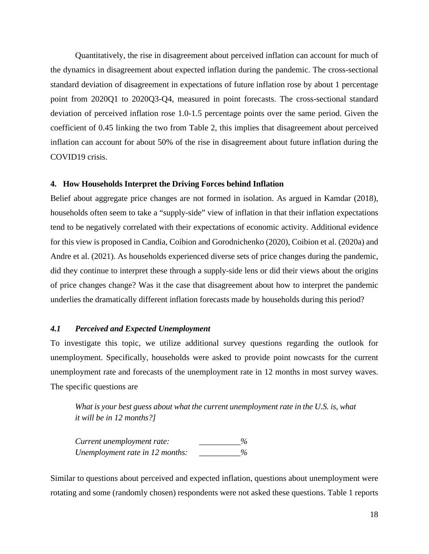Quantitatively, the rise in disagreement about perceived inflation can account for much of the dynamics in disagreement about expected inflation during the pandemic. The cross-sectional standard deviation of disagreement in expectations of future inflation rose by about 1 percentage point from 2020Q1 to 2020Q3-Q4, measured in point forecasts. The cross-sectional standard deviation of perceived inflation rose 1.0-1.5 percentage points over the same period. Given the coefficient of 0.45 linking the two from Table 2, this implies that disagreement about perceived inflation can account for about 50% of the rise in disagreement about future inflation during the COVID19 crisis.

#### **4. How Households Interpret the Driving Forces behind Inflation**

Belief about aggregate price changes are not formed in isolation. As argued in Kamdar (2018), households often seem to take a "supply-side" view of inflation in that their inflation expectations tend to be negatively correlated with their expectations of economic activity. Additional evidence for this view is proposed in Candia, Coibion and Gorodnichenko (2020), Coibion et al. (2020a) and Andre et al. (2021). As households experienced diverse sets of price changes during the pandemic, did they continue to interpret these through a supply-side lens or did their views about the origins of price changes change? Was it the case that disagreement about how to interpret the pandemic underlies the dramatically different inflation forecasts made by households during this period?

#### *4.1 Perceived and Expected Unemployment*

To investigate this topic, we utilize additional survey questions regarding the outlook for unemployment. Specifically, households were asked to provide point nowcasts for the current unemployment rate and forecasts of the unemployment rate in 12 months in most survey waves. The specific questions are

*What is your best guess about what the current unemployment rate in the U.S. is, what it will be in 12 months?]* 

*Current unemployment rate: \_\_\_\_\_\_\_\_\_\_% Unemployment rate in 12 months: \_\_\_\_\_\_\_\_\_\_%* 

Similar to questions about perceived and expected inflation, questions about unemployment were rotating and some (randomly chosen) respondents were not asked these questions. [Table 1](#page-42-0) reports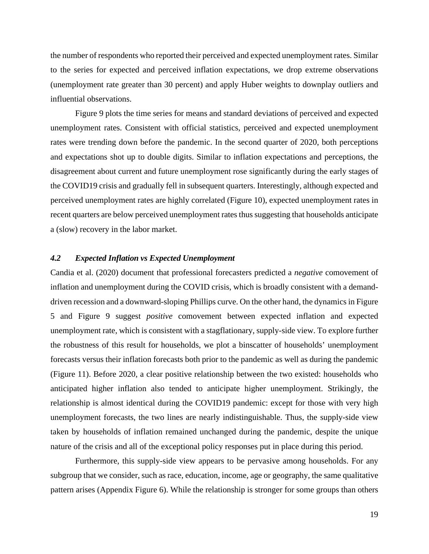the number of respondents who reported their perceived and expected unemployment rates. Similar to the series for expected and perceived inflation expectations, we drop extreme observations (unemployment rate greater than 30 percent) and apply Huber weights to downplay outliers and influential observations.

 [Figure 9](#page-38-0) plots the time series for means and standard deviations of perceived and expected unemployment rates. Consistent with official statistics, perceived and expected unemployment rates were trending down before the pandemic. In the second quarter of 2020, both perceptions and expectations shot up to double digits. Similar to inflation expectations and perceptions, the disagreement about current and future unemployment rose significantly during the early stages of the COVID19 crisis and gradually fell in subsequent quarters. Interestingly, although expected and perceived unemployment rates are highly correlated [\(Figure 10\)](#page-39-0), expected unemployment rates in recent quarters are below perceived unemployment rates thus suggesting that households anticipate a (slow) recovery in the labor market.

#### *4.2 Expected Inflation vs Expected Unemployment*

Candia et al. (2020) document that professional forecasters predicted a *negative* comovement of inflation and unemployment during the COVID crisis, which is broadly consistent with a demanddriven recession and a downward-sloping Phillips curve. On the other hand, the dynamics i[n Figure](#page-34-0)  [5](#page-34-0) and [Figure 9](#page-38-0) suggest *positive* comovement between expected inflation and expected unemployment rate, which is consistent with a stagflationary, supply-side view. To explore further the robustness of this result for households, we plot a binscatter of households' unemployment forecasts versus their inflation forecasts both prior to the pandemic as well as during the pandemic [\(Figure 11\)](#page-40-0). Before 2020, a clear positive relationship between the two existed: households who anticipated higher inflation also tended to anticipate higher unemployment. Strikingly, the relationship is almost identical during the COVID19 pandemic: except for those with very high unemployment forecasts, the two lines are nearly indistinguishable. Thus, the supply-side view taken by households of inflation remained unchanged during the pandemic, despite the unique nature of the crisis and all of the exceptional policy responses put in place during this period.

Furthermore, this supply-side view appears to be pervasive among households. For any subgroup that we consider, such as race, education, income, age or geography, the same qualitative pattern arises [\(Appendix Figure 6\)](#page-55-0). While the relationship is stronger for some groups than others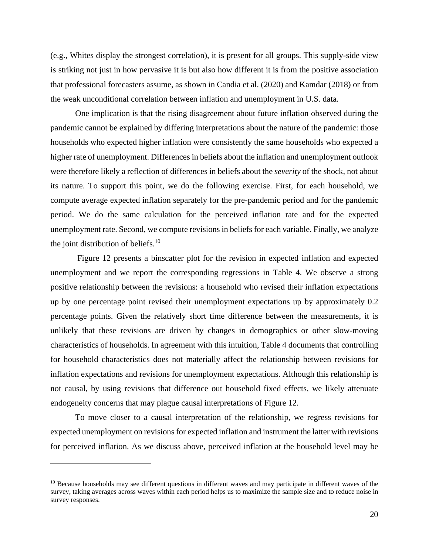(e.g., Whites display the strongest correlation), it is present for all groups. This supply-side view is striking not just in how pervasive it is but also how different it is from the positive association that professional forecasters assume, as shown in Candia et al. (2020) and Kamdar (2018) or from the weak unconditional correlation between inflation and unemployment in U.S. data.

One implication is that the rising disagreement about future inflation observed during the pandemic cannot be explained by differing interpretations about the nature of the pandemic: those households who expected higher inflation were consistently the same households who expected a higher rate of unemployment. Differences in beliefs about the inflation and unemployment outlook were therefore likely a reflection of differences in beliefs about the *severity* of the shock, not about its nature. To support this point, we do the following exercise. First, for each household, we compute average expected inflation separately for the pre-pandemic period and for the pandemic period. We do the same calculation for the perceived inflation rate and for the expected unemployment rate. Second, we compute revisions in beliefs for each variable. Finally, we analyze the joint distribution of beliefs. $10$ 

 [Figure 12](#page-41-0) presents a binscatter plot for the revision in expected inflation and expected unemployment and we report the corresponding regressions in [Table 4.](#page-45-0) We observe a strong positive relationship between the revisions: a household who revised their inflation expectations up by one percentage point revised their unemployment expectations up by approximately 0.2 percentage points. Given the relatively short time difference between the measurements, it is unlikely that these revisions are driven by changes in demographics or other slow-moving characteristics of households. In agreement with this intuition, [Table 4](#page-45-0) documents that controlling for household characteristics does not materially affect the relationship between revisions for inflation expectations and revisions for unemployment expectations. Although this relationship is not causal, by using revisions that difference out household fixed effects, we likely attenuate endogeneity concerns that may plague causal interpretations of [Figure 12.](#page-41-0)

To move closer to a causal interpretation of the relationship, we regress revisions for expected unemployment on revisions for expected inflation and instrument the latter with revisions for perceived inflation. As we discuss above, perceived inflation at the household level may be

<sup>&</sup>lt;sup>10</sup> Because households may see different questions in different waves and may participate in different waves of the survey, taking averages across waves within each period helps us to maximize the sample size and to reduce noise in survey responses.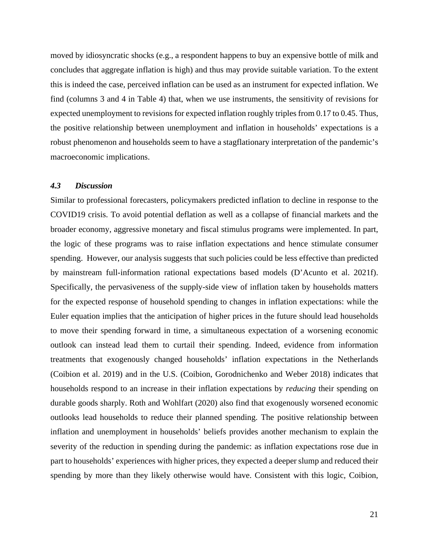moved by idiosyncratic shocks (e.g., a respondent happens to buy an expensive bottle of milk and concludes that aggregate inflation is high) and thus may provide suitable variation. To the extent this is indeed the case, perceived inflation can be used as an instrument for expected inflation. We find (columns 3 and 4 in [Table 4\)](#page-45-0) that, when we use instruments, the sensitivity of revisions for expected unemployment to revisions for expected inflation roughly triples from 0.17 to 0.45. Thus, the positive relationship between unemployment and inflation in households' expectations is a robust phenomenon and households seem to have a stagflationary interpretation of the pandemic's macroeconomic implications.

#### *4.3 Discussion*

Similar to professional forecasters, policymakers predicted inflation to decline in response to the COVID19 crisis. To avoid potential deflation as well as a collapse of financial markets and the broader economy, aggressive monetary and fiscal stimulus programs were implemented. In part, the logic of these programs was to raise inflation expectations and hence stimulate consumer spending. However, our analysis suggests that such policies could be less effective than predicted by mainstream full-information rational expectations based models (D'Acunto et al. 2021f). Specifically, the pervasiveness of the supply-side view of inflation taken by households matters for the expected response of household spending to changes in inflation expectations: while the Euler equation implies that the anticipation of higher prices in the future should lead households to move their spending forward in time, a simultaneous expectation of a worsening economic outlook can instead lead them to curtail their spending. Indeed, evidence from information treatments that exogenously changed households' inflation expectations in the Netherlands (Coibion et al. 2019) and in the U.S. (Coibion, Gorodnichenko and Weber 2018) indicates that households respond to an increase in their inflation expectations by *reducing* their spending on durable goods sharply. Roth and Wohlfart (2020) also find that exogenously worsened economic outlooks lead households to reduce their planned spending. The positive relationship between inflation and unemployment in households' beliefs provides another mechanism to explain the severity of the reduction in spending during the pandemic: as inflation expectations rose due in part to households' experiences with higher prices, they expected a deeper slump and reduced their spending by more than they likely otherwise would have. Consistent with this logic, Coibion,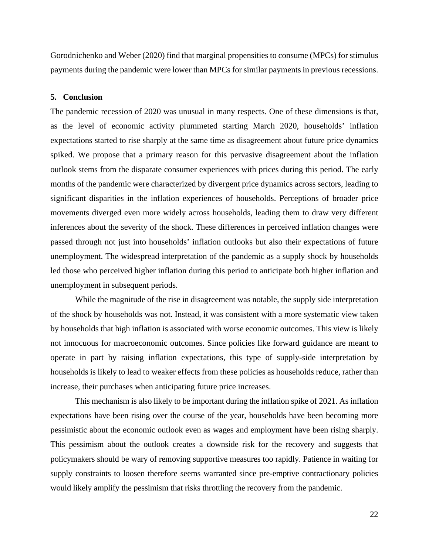Gorodnichenko and Weber (2020) find that marginal propensities to consume (MPCs) for stimulus payments during the pandemic were lower than MPCs for similar payments in previous recessions.

#### **5. Conclusion**

The pandemic recession of 2020 was unusual in many respects. One of these dimensions is that, as the level of economic activity plummeted starting March 2020, households' inflation expectations started to rise sharply at the same time as disagreement about future price dynamics spiked. We propose that a primary reason for this pervasive disagreement about the inflation outlook stems from the disparate consumer experiences with prices during this period. The early months of the pandemic were characterized by divergent price dynamics across sectors, leading to significant disparities in the inflation experiences of households. Perceptions of broader price movements diverged even more widely across households, leading them to draw very different inferences about the severity of the shock. These differences in perceived inflation changes were passed through not just into households' inflation outlooks but also their expectations of future unemployment. The widespread interpretation of the pandemic as a supply shock by households led those who perceived higher inflation during this period to anticipate both higher inflation and unemployment in subsequent periods.

While the magnitude of the rise in disagreement was notable, the supply side interpretation of the shock by households was not. Instead, it was consistent with a more systematic view taken by households that high inflation is associated with worse economic outcomes. This view is likely not innocuous for macroeconomic outcomes. Since policies like forward guidance are meant to operate in part by raising inflation expectations, this type of supply-side interpretation by households is likely to lead to weaker effects from these policies as households reduce, rather than increase, their purchases when anticipating future price increases.

This mechanism is also likely to be important during the inflation spike of 2021. As inflation expectations have been rising over the course of the year, households have been becoming more pessimistic about the economic outlook even as wages and employment have been rising sharply. This pessimism about the outlook creates a downside risk for the recovery and suggests that policymakers should be wary of removing supportive measures too rapidly. Patience in waiting for supply constraints to loosen therefore seems warranted since pre-emptive contractionary policies would likely amplify the pessimism that risks throttling the recovery from the pandemic.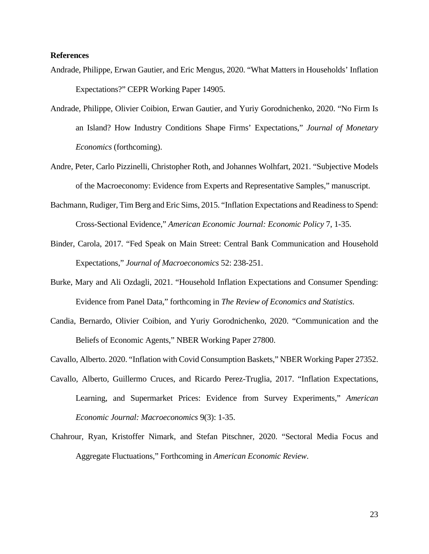#### **References**

- Andrade, Philippe, Erwan Gautier, and Eric Mengus, 2020. "What Matters in Households' Inflation Expectations?" CEPR Working Paper 14905.
- Andrade, Philippe, Olivier Coibion, Erwan Gautier, and Yuriy Gorodnichenko, 2020. "No Firm Is an Island? How Industry Conditions Shape Firms' Expectations," *Journal of Monetary Economics* (forthcoming).
- Andre, Peter, Carlo Pizzinelli, Christopher Roth, and Johannes Wolhfart, 2021. "Subjective Models of the Macroeconomy: Evidence from Experts and Representative Samples," manuscript.
- Bachmann, Rudiger, Tim Berg and Eric Sims, 2015. "Inflation Expectations and Readiness to Spend: Cross-Sectional Evidence," *American Economic Journal: Economic Policy* 7, 1-35.
- Binder, Carola, 2017. "Fed Speak on Main Street: Central Bank Communication and Household Expectations," *Journal of Macroeconomics* 52: 238-251.
- Burke, Mary and Ali Ozdagli, 2021. "Household Inflation Expectations and Consumer Spending: Evidence from Panel Data," forthcoming in *The Review of Economics and Statistics*.
- Candia, Bernardo, Olivier Coibion, and Yuriy Gorodnichenko, 2020. "Communication and the Beliefs of Economic Agents," NBER Working Paper 27800.

Cavallo, Alberto. 2020. "Inflation with Covid Consumption Baskets," NBER Working Paper 27352.

- Cavallo, Alberto, Guillermo Cruces, and Ricardo Perez-Truglia, 2017. "Inflation Expectations, Learning, and Supermarket Prices: Evidence from Survey Experiments," *American Economic Journal: Macroeconomics* 9(3): 1-35.
- Chahrour, Ryan, Kristoffer Nimark, and Stefan Pitschner, 2020. "Sectoral Media Focus and Aggregate Fluctuations," Forthcoming in *American Economic Review*.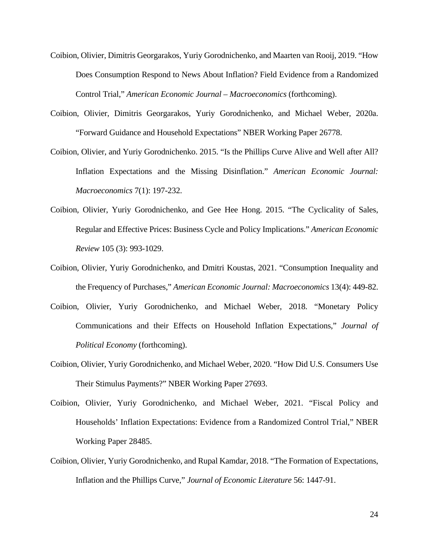- Coibion, Olivier, Dimitris Georgarakos, Yuriy Gorodnichenko, and Maarten van Rooij, 2019. "How Does Consumption Respond to News About Inflation? Field Evidence from a Randomized Control Trial," *American Economic Journal – Macroeconomics* (forthcoming).
- Coibion, Olivier, Dimitris Georgarakos, Yuriy Gorodnichenko, and Michael Weber, 2020a. "Forward Guidance and Household Expectations" NBER Working Paper 26778.
- Coibion, Olivier, and Yuriy Gorodnichenko. 2015. "Is the Phillips Curve Alive and Well after All? Inflation Expectations and the Missing Disinflation." *American Economic Journal: Macroeconomics* 7(1): 197-232.
- Coibion, Olivier, Yuriy Gorodnichenko, and Gee Hee Hong. 2015. "The Cyclicality of Sales, Regular and Effective Prices: Business Cycle and Policy Implications." *American Economic Review* 105 (3): 993-1029.
- Coibion, Olivier, Yuriy Gorodnichenko, and Dmitri Koustas, 2021. "Consumption Inequality and the Frequency of Purchases," *American Economic Journal: Macroeconomics* 13(4): 449-82.
- Coibion, Olivier, Yuriy Gorodnichenko, and Michael Weber, 2018. "Monetary Policy Communications and their Effects on Household Inflation Expectations," *Journal of Political Economy* (forthcoming).
- Coibion, Olivier, Yuriy Gorodnichenko, and Michael Weber, 2020. "How Did U.S. Consumers Use Their Stimulus Payments?" NBER Working Paper 27693.
- Coibion, Olivier, Yuriy Gorodnichenko, and Michael Weber, 2021. "Fiscal Policy and Households' Inflation Expectations: Evidence from a Randomized Control Trial," NBER Working Paper 28485.
- Coibion, Olivier, Yuriy Gorodnichenko, and Rupal Kamdar, 2018. "The Formation of Expectations, Inflation and the Phillips Curve," *Journal of Economic Literature* 56: 1447-91.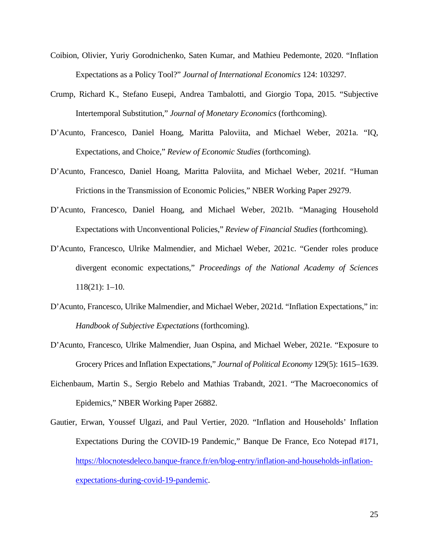- Coibion, Olivier, Yuriy Gorodnichenko, Saten Kumar, and Mathieu Pedemonte, 2020. "Inflation Expectations as a Policy Tool?" *Journal of International Economics* 124: 103297.
- Crump, Richard K., Stefano Eusepi, Andrea Tambalotti, and Giorgio Topa, 2015. "Subjective Intertemporal Substitution," *Journal of Monetary Economics* (forthcoming).
- D'Acunto, Francesco, Daniel Hoang, Maritta Paloviita, and Michael Weber, 2021a. "IQ, Expectations, and Choice," *Review of Economic Studies* (forthcoming).
- D'Acunto, Francesco, Daniel Hoang, Maritta Paloviita, and Michael Weber, 2021f. "Human Frictions in the Transmission of Economic Policies," NBER Working Paper 29279.
- D'Acunto, Francesco, Daniel Hoang, and Michael Weber, 2021b. "Managing Household Expectations with Unconventional Policies," *Review of Financial Studies* (forthcoming).
- D'Acunto, Francesco, Ulrike Malmendier, and Michael Weber, 2021c. "Gender roles produce divergent economic expectations," *Proceedings of the National Academy of Sciences* 118(21): 1–10.
- D'Acunto, Francesco, Ulrike Malmendier, and Michael Weber, 2021d. "Inflation Expectations," in: *Handbook of Subjective Expectations* (forthcoming).
- D'Acunto, Francesco, Ulrike Malmendier, Juan Ospina, and Michael Weber, 2021e. "Exposure to Grocery Prices and Inflation Expectations," *Journal of Political Economy* 129(5): 1615–1639.
- Eichenbaum, Martin S., Sergio Rebelo and Mathias Trabandt, 2021. "The Macroeconomics of Epidemics," NBER Working Paper 26882.
- Gautier, Erwan, Youssef Ulgazi, and Paul Vertier, 2020. "Inflation and Households' Inflation Expectations During the COVID-19 Pandemic," Banque De France, Eco Notepad #171, [https://blocnotesdeleco.banque-france.fr/en/blog-entry/inflation-and-households-inflation](https://blocnotesdeleco.banque-france.fr/en/blog-entry/inflation-and-households-inflation-expectations-during-covid-19-pandemic)[expectations-during-covid-19-pandemic.](https://blocnotesdeleco.banque-france.fr/en/blog-entry/inflation-and-households-inflation-expectations-during-covid-19-pandemic)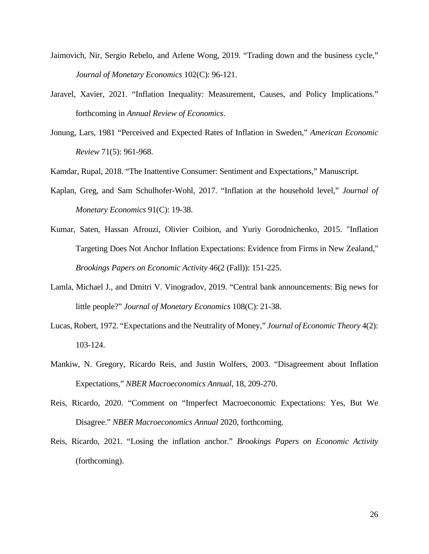- Jaimovich, Nir, Sergio Rebelo, and Arlene Wong, 2019. "Trading down and the business cycle," *Journal of Monetary Economics* 102(C): 96-121.
- Jaravel, Xavier, 2021. "Inflation Inequality: Measurement, Causes, and Policy Implications." forthcoming in *Annual Review of Economics*.
- Jonung, Lars, 1981 "Perceived and Expected Rates of Inflation in Sweden," *American Economic Review* 71(5): 961-968.

Kamdar, Rupal, 2018. "The Inattentive Consumer: Sentiment and Expectations," Manuscript.

- Kaplan, Greg, and Sam Schulhofer-Wohl, 2017. "Inflation at the household level," *Journal of Monetary Economics* 91(C): 19-38.
- Kumar, Saten, Hassan Afrouzi, Olivier Coibion, and Yuriy Gorodnichenko, 2015. "Inflation Targeting Does Not Anchor Inflation Expectations: Evidence from Firms in New Zealand," *Brookings Papers on Economic Activity* 46(2 (Fall)): 151-225.
- Lamla, Michael J., and Dmitri V. Vinogradov, 2019. "Central bank announcements: Big news for little people?" *Journal of Monetary Economics* 108(C): 21-38.
- Lucas, Robert, 1972. "Expectations and the Neutrality of Money," *Journal of Economic Theory* 4(2): 103-124.
- Mankiw, N. Gregory, Ricardo Reis, and Justin Wolfers, 2003. "Disagreement about Inflation Expectations," *NBER Macroeconomics Annual*, 18, 209-270.
- Reis, Ricardo, 2020. "Comment on "Imperfect Macroeconomic Expectations: Yes, But We Disagree." *NBER Macroeconomics Annual* 2020, forthcoming.
- Reis, Ricardo, 2021. "Losing the inflation anchor." *Brookings Papers on Economic Activity* (forthcoming).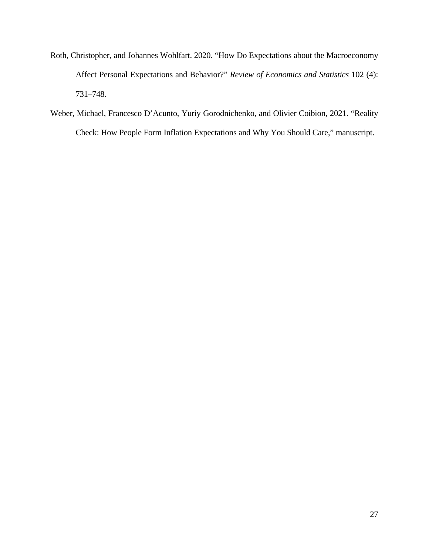- Roth, Christopher, and Johannes Wohlfart. 2020. "How Do Expectations about the Macroeconomy Affect Personal Expectations and Behavior?" *Review of Economics and Statistics* 102 (4): 731–748.
- Weber, Michael, Francesco D'Acunto, Yuriy Gorodnichenko, and Olivier Coibion, 2021. "Reality Check: How People Form Inflation Expectations and Why You Should Care," manuscript.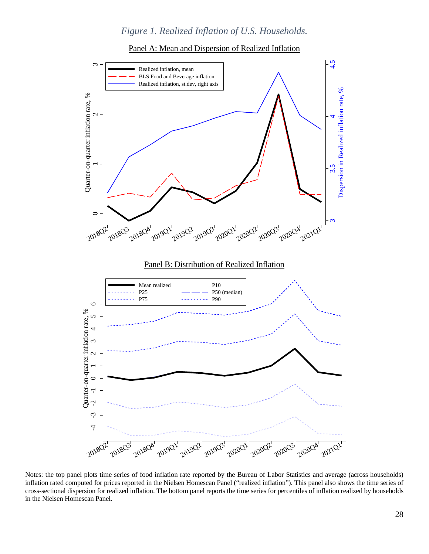# *Figure 1. Realized Inflation of U.S. Households.*



<span id="page-30-0"></span>

Notes: the top panel plots time series of food inflation rate reported by the Bureau of Labor Statistics and average (across households) inflation rated computed for prices reported in the Nielsen Homescan Panel ("realized inflation"). This panel also shows the time series of cross-sectional dispersion for realized inflation. The bottom panel reports the time series for percentiles of inflation realized by households in the Nielsen Homescan Panel.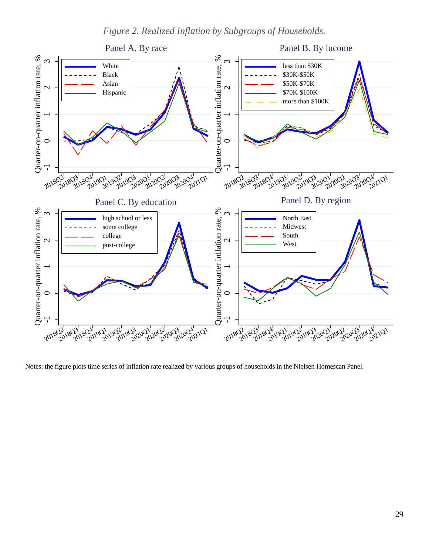*Figure 2. Realized Inflation by Subgroups of Households.*

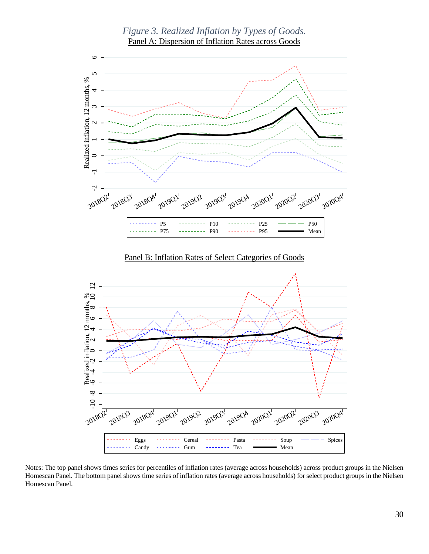<span id="page-32-0"></span>

Notes: The top panel shows times series for percentiles of inflation rates (average across households) across product groups in the Nielsen Homescan Panel. The bottom panel shows time series of inflation rates (average across households) for select product groups in the Nielsen Homescan Panel.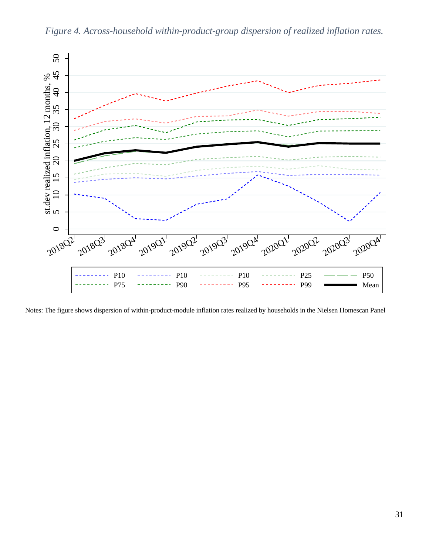<span id="page-33-0"></span>

*Figure 4. Across-household within-product-group dispersion of realized inflation rates.* 

Notes: The figure shows dispersion of within-product-module inflation rates realized by households in the Nielsen Homescan Panel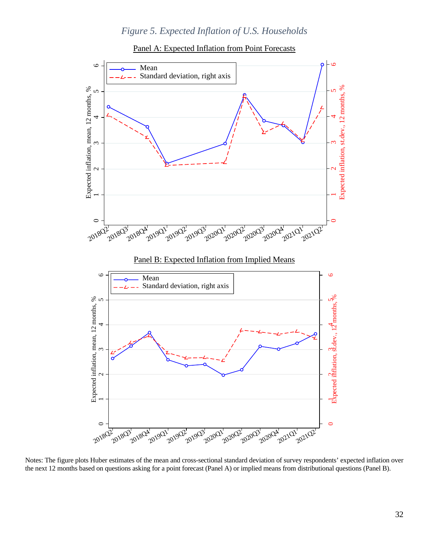# *Figure 5. Expected Inflation of U.S. Households*



<span id="page-34-0"></span>

Notes: The figure plots Huber estimates of the mean and cross-sectional standard deviation of survey respondents' expected inflation over the next 12 months based on questions asking for a point forecast (Panel A) or implied means from distributional questions (Panel B).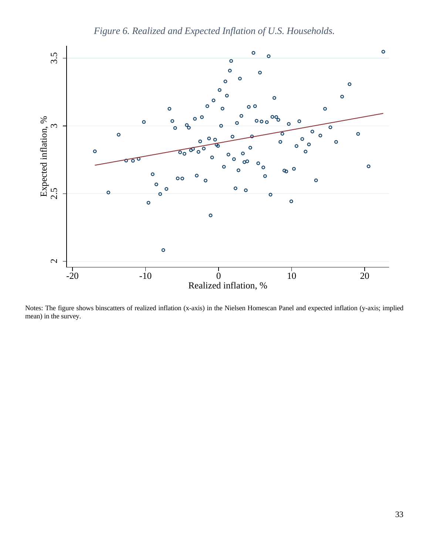

*Figure 6. Realized and Expected Inflation of U.S. Households.*

Notes: The figure shows binscatters of realized inflation (x-axis) in the Nielsen Homescan Panel and expected inflation (y-axis; implied mean) in the survey.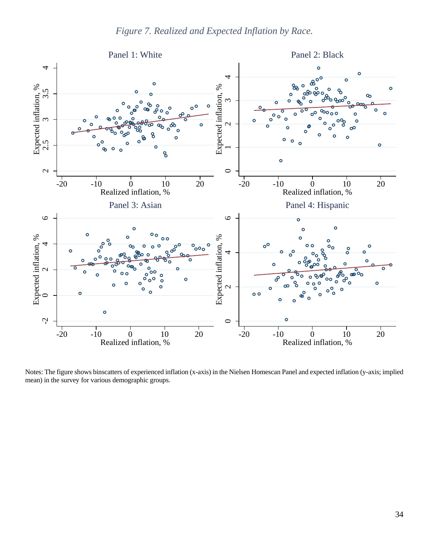<span id="page-36-0"></span>

Notes: The figure shows binscatters of experienced inflation (x-axis) in the Nielsen Homescan Panel and expected inflation (y-axis; implied mean) in the survey for various demographic groups.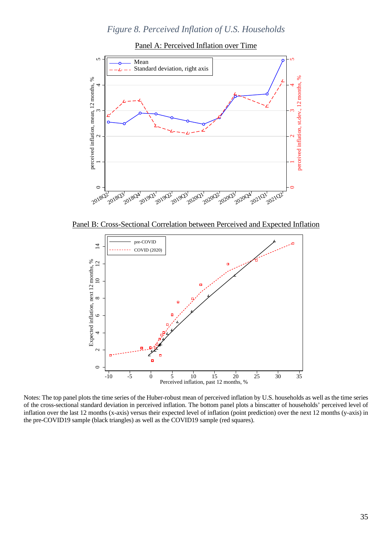# *Figure 8. Perceived Inflation of U.S. Households*



<span id="page-37-0"></span>

Panel B: Cross-Sectional Correlation between Perceived and Expected Inflation



Notes: The top panel plots the time series of the Huber-robust mean of perceived inflation by U.S. households as well as the time series of the cross-sectional standard deviation in perceived inflation. The bottom panel plots a binscatter of households' perceived level of inflation over the last 12 months (x-axis) versus their expected level of inflation (point prediction) over the next 12 months (y-axis) in the pre-COVID19 sample (black triangles) as well as the COVID19 sample (red squares).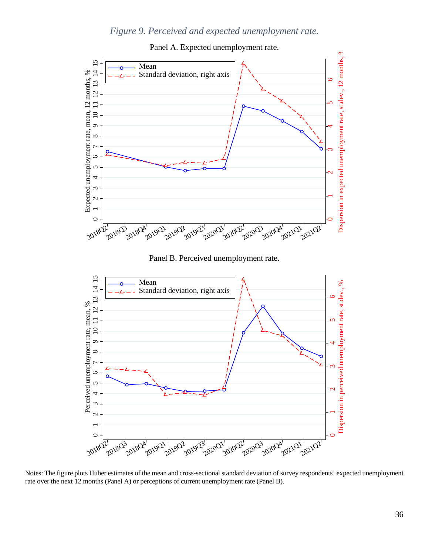# *Figure 9. Perceived and expected unemployment rate.*

<span id="page-38-0"></span>

Panel A. Expected unemployment rate.

Panel B. Perceived unemployment rate.



Notes: The figure plots Huber estimates of the mean and cross-sectional standard deviation of survey respondents' expected unemployment rate over the next 12 months (Panel A) or perceptions of current unemployment rate (Panel B).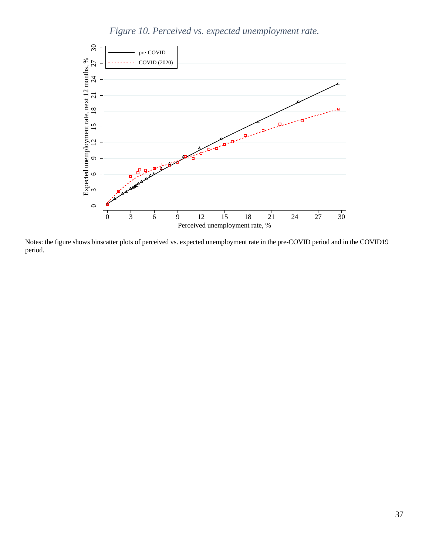

<span id="page-39-0"></span>

Notes: the figure shows binscatter plots of perceived vs. expected unemployment rate in the pre-COVID period and in the COVID19 period.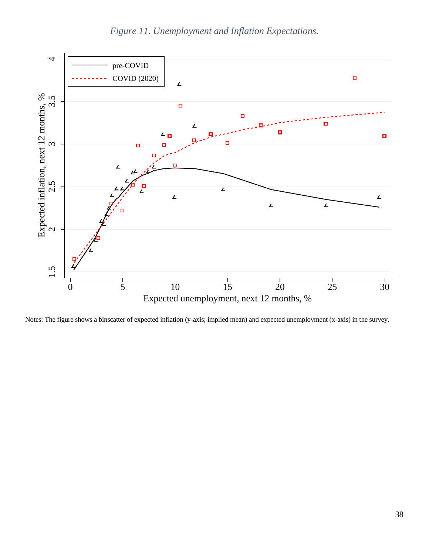

<span id="page-40-0"></span>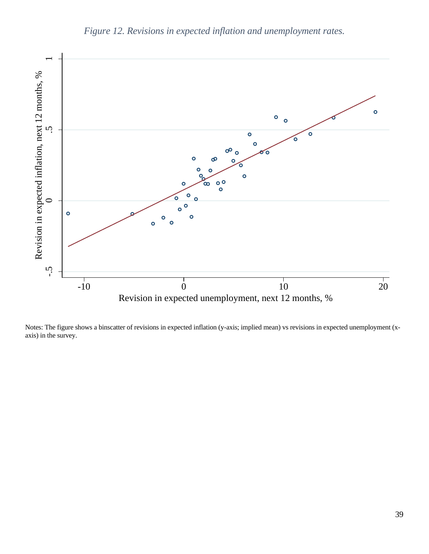<span id="page-41-0"></span>

Notes: The figure shows a binscatter of revisions in expected inflation (y-axis; implied mean) vs revisions in expected unemployment (x-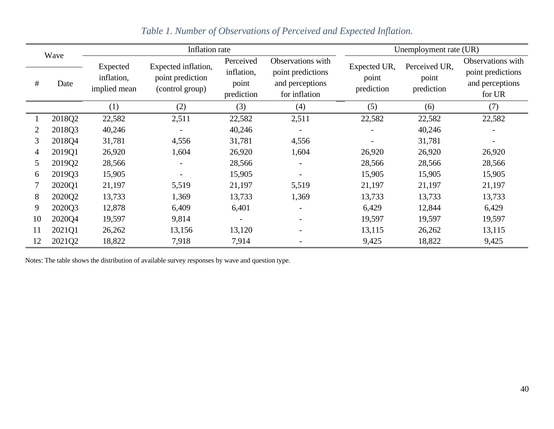| Wave<br>#<br>Date |        | Inflation rate                         |                                                            |                                                |                                                                            | Unemployment rate (UR)              |                                      |                                                                     |  |
|-------------------|--------|----------------------------------------|------------------------------------------------------------|------------------------------------------------|----------------------------------------------------------------------------|-------------------------------------|--------------------------------------|---------------------------------------------------------------------|--|
|                   |        | Expected<br>inflation,<br>implied mean | Expected inflation,<br>point prediction<br>(control group) | Perceived<br>inflation,<br>point<br>prediction | Observations with<br>point predictions<br>and perceptions<br>for inflation | Expected UR,<br>point<br>prediction | Perceived UR,<br>point<br>prediction | Observations with<br>point predictions<br>and perceptions<br>for UR |  |
|                   |        | (1)                                    | (2)                                                        | (3)                                            | (4)                                                                        | (5)                                 | (6)                                  | (7)                                                                 |  |
|                   | 2018Q2 | 22,582                                 | 2,511                                                      | 22,582                                         | 2,511                                                                      | 22,582                              | 22,582                               | 22,582                                                              |  |
| 2                 | 2018Q3 | 40,246                                 |                                                            | 40,246                                         |                                                                            |                                     | 40,246                               |                                                                     |  |
| 3                 | 2018Q4 | 31,781                                 | 4,556                                                      | 31,781                                         | 4,556                                                                      |                                     | 31,781                               |                                                                     |  |
| 4                 | 2019Q1 | 26,920                                 | 1,604                                                      | 26,920                                         | 1,604                                                                      | 26,920                              | 26,920                               | 26,920                                                              |  |
| 5                 | 2019Q2 | 28,566                                 |                                                            | 28,566                                         |                                                                            | 28,566                              | 28,566                               | 28,566                                                              |  |
| 6                 | 2019Q3 | 15,905                                 |                                                            | 15,905                                         |                                                                            | 15,905                              | 15,905                               | 15,905                                                              |  |
|                   | 2020Q1 | 21,197                                 | 5,519                                                      | 21,197                                         | 5,519                                                                      | 21,197                              | 21,197                               | 21,197                                                              |  |
| 8                 | 2020Q2 | 13,733                                 | 1,369                                                      | 13,733                                         | 1,369                                                                      | 13,733                              | 13,733                               | 13,733                                                              |  |
| 9                 | 2020Q3 | 12,878                                 | 6,409                                                      | 6,401                                          |                                                                            | 6,429                               | 12,844                               | 6,429                                                               |  |
| 10                | 2020Q4 | 19,597                                 | 9,814                                                      | $\overline{\phantom{a}}$                       |                                                                            | 19,597                              | 19,597                               | 19,597                                                              |  |
| 11                | 2021Q1 | 26,262                                 | 13,156                                                     | 13,120                                         |                                                                            | 13,115                              | 26,262                               | 13,115                                                              |  |
| 12                | 2021Q2 | 18,822                                 | 7,918                                                      | 7,914                                          |                                                                            | 9,425                               | 18,822                               | 9,425                                                               |  |

# *Table 1. Number of Observations of Perceived and Expected Inflation.*

<span id="page-42-0"></span>Notes: The table shows the distribution of available survey responses by wave and question type.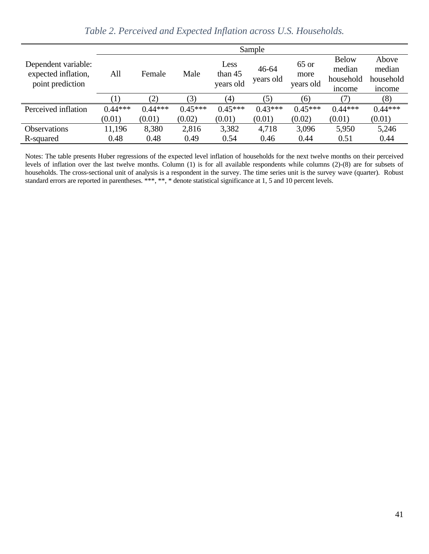|                                                                | Sample           |           |           |                              |                        |                              |                                               |                                        |
|----------------------------------------------------------------|------------------|-----------|-----------|------------------------------|------------------------|------------------------------|-----------------------------------------------|----------------------------------------|
| Dependent variable:<br>expected inflation,<br>point prediction | All              | Female    | Male      | Less<br>than 45<br>years old | $46 - 64$<br>years old | $65$ or<br>more<br>years old | <b>Below</b><br>median<br>household<br>income | Above<br>median<br>household<br>income |
|                                                                | $\left(1\right)$ | (2)       | 3)        | (4)                          | (5)                    | (6)                          | (7)                                           | (8)                                    |
| Perceived inflation                                            | $0.44***$        | $0.44***$ | $0.45***$ | $0.45***$                    | $0.43***$              | $0.45***$                    | $0.44***$                                     | $0.44***$                              |
|                                                                | (0.01)           | (0.01)    | (0.02)    | (0.01)                       | (0.01)                 | (0.02)                       | (0.01)                                        | (0.01)                                 |
| <b>Observations</b>                                            | 11,196           | 8,380     | 2,816     | 3,382                        | 4,718                  | 3,096                        | 5,950                                         | 5,246                                  |
| R-squared                                                      | 0.48             | 0.48      | 0.49      | 0.54                         | 0.46                   | 0.44                         | 0.51                                          | 0.44                                   |

*Table 2. Perceived and Expected Inflation across U.S. Households.*

Notes: The table presents Huber regressions of the expected level inflation of households for the next twelve months on their perceived levels of inflation over the last twelve months. Column (1) is for all available respondents while columns (2)-(8) are for subsets of households. The cross-sectional unit of analysis is a respondent in the survey. The time series unit is the survey wave (quarter). Robust standard errors are reported in parentheses. \*\*\*, \*\*, \* denote statistical significance at 1, 5 and 10 percent levels.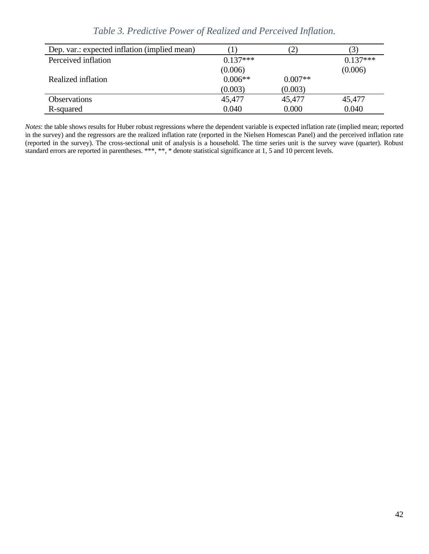<span id="page-44-0"></span>

| Dep. var.: expected inflation (implied mean) |            |           | 3          |
|----------------------------------------------|------------|-----------|------------|
| Perceived inflation                          | $0.137***$ |           | $0.137***$ |
|                                              | (0.006)    |           | (0.006)    |
| Realized inflation                           | $0.006**$  | $0.007**$ |            |
|                                              | (0.003)    | (0.003)   |            |
| <b>Observations</b>                          | 45,477     | 45,477    | 45,477     |
| R-squared                                    | 0.040      | 0.000     | 0.040      |

*Table 3. Predictive Power of Realized and Perceived Inflation.*

*Notes*: the table shows results for Huber robust regressions where the dependent variable is expected inflation rate (implied mean; reported in the survey) and the regressors are the realized inflation rate (reported in the Nielsen Homescan Panel) and the perceived inflation rate (reported in the survey). The cross-sectional unit of analysis is a household. The time series unit is the survey wave (quarter). Robust standard errors are reported in parentheses. \*\*\*, \*\*, \* denote statistical significance at 1, 5 and 10 percent levels.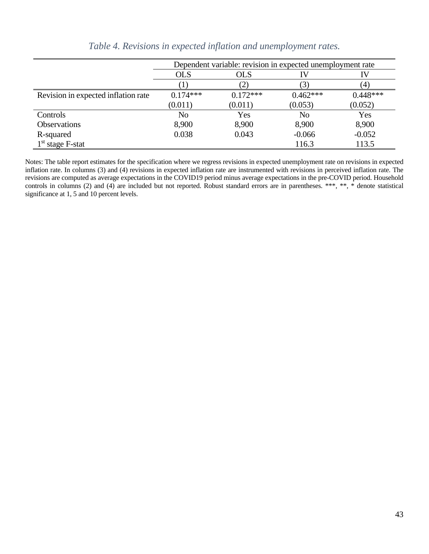<span id="page-45-0"></span>

|                                     | Dependent variable: revision in expected unemployment rate |                   |            |            |  |  |
|-------------------------------------|------------------------------------------------------------|-------------------|------------|------------|--|--|
|                                     | <b>OLS</b>                                                 | <b>OLS</b>        | ΙV         | IV         |  |  |
|                                     |                                                            | $\left( 2\right)$ | (3)        | (4)        |  |  |
| Revision in expected inflation rate | $0.174***$                                                 | $0.172***$        | $0.462***$ | $0.448***$ |  |  |
|                                     | (0.011)                                                    | (0.011)           | (0.053)    | (0.052)    |  |  |
| Controls                            | N <sub>o</sub>                                             | Yes               | No         | Yes        |  |  |
| <b>Observations</b>                 | 8,900                                                      | 8,900             | 8,900      | 8,900      |  |  |
| R-squared                           | 0.038                                                      | 0.043             | $-0.066$   | $-0.052$   |  |  |
| $1st$ stage F-stat                  |                                                            |                   | 116.3      | 113.5      |  |  |

*Table 4. Revisions in expected inflation and unemployment rates.*

Notes: The table report estimates for the specification where we regress revisions in expected unemployment rate on revisions in expected inflation rate. In columns (3) and (4) revisions in expected inflation rate are instrumented with revisions in perceived inflation rate. The revisions are computed as average expectations in the COVID19 period minus average expectations in the pre-COVID period. Household controls in columns (2) and (4) are included but not reported. Robust standard errors are in parentheses. \*\*\*, \*\*, \* denote statistical significance at 1, 5 and 10 percent levels.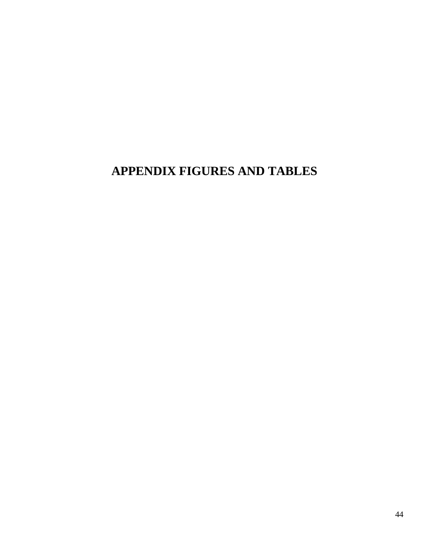# **APPENDIX FIGURES AND TABLES**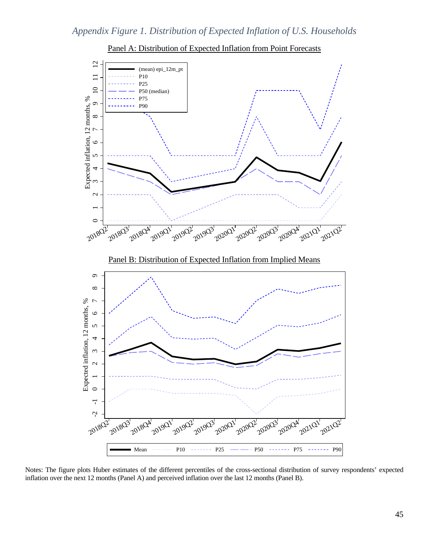



Notes: The figure plots Huber estimates of the different percentiles of the cross-sectional distribution of survey respondents' expected inflation over the next 12 months (Panel A) and perceived inflation over the last 12 months (Panel B).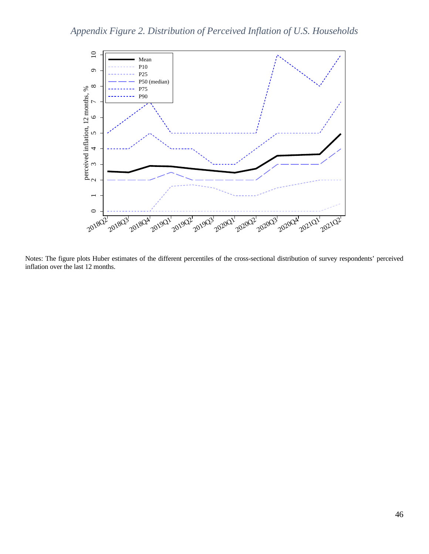<span id="page-48-0"></span>

Notes: The figure plots Huber estimates of the different percentiles of the cross-sectional distribution of survey respondents' perceived inflation over the last 12 months.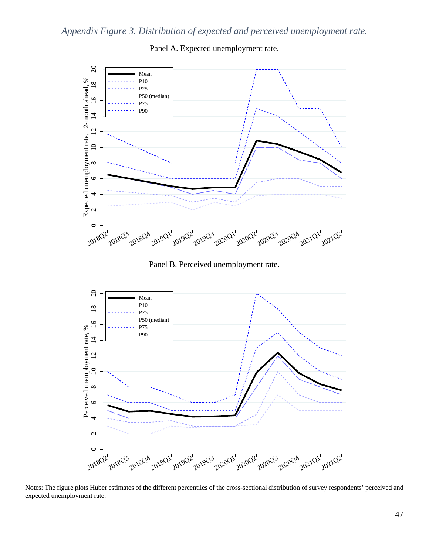

Panel A. Expected unemployment rate.

Panel B. Perceived unemployment rate.



Notes: The figure plots Huber estimates of the different percentiles of the cross-sectional distribution of survey respondents' perceived and expected unemployment rate.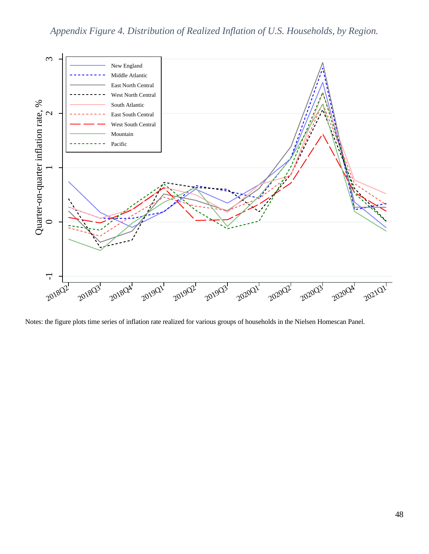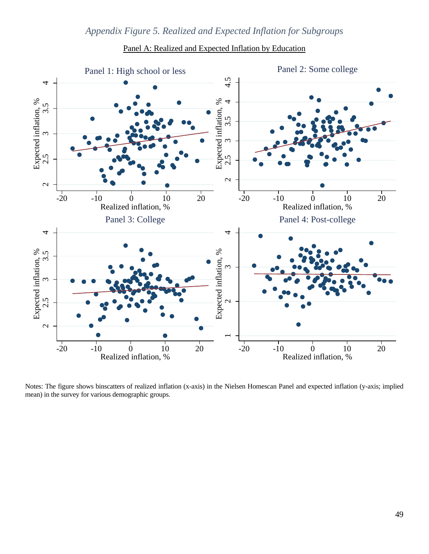<span id="page-51-1"></span><span id="page-51-0"></span>

## Panel A: Realized and Expected Inflation by Education

Notes: The figure shows binscatters of realized inflation (x-axis) in the Nielsen Homescan Panel and expected inflation (y-axis; implied mean) in the survey for various demographic groups.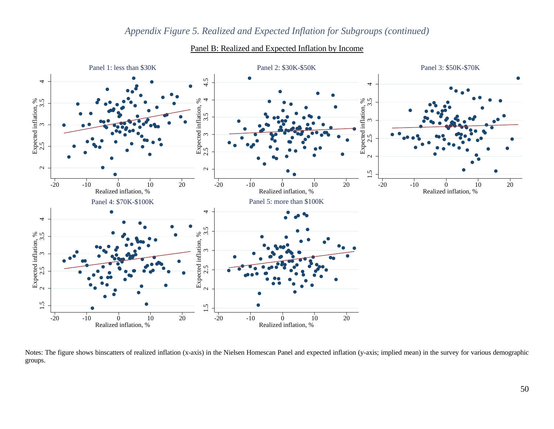

# *[Appendix Figure 5.](#page-51-1) Realized and Expected Inflation for Subgroups (continued)*

Panel B: Realized and Expected Inflation by Income

Notes: The figure shows binscatters of realized inflation (x-axis) in the Nielsen Homescan Panel and expected inflation (y-axis; implied mean) in the survey for various demographic groups.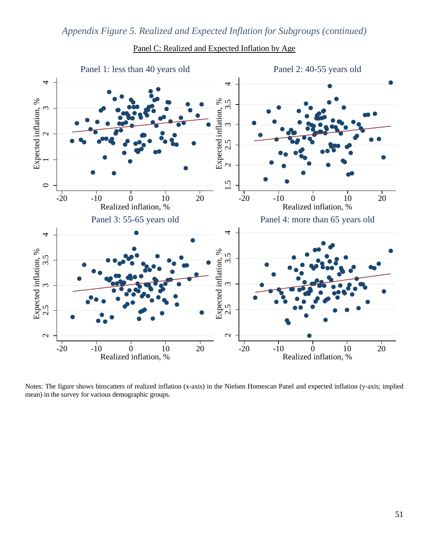

## Panel C: Realized and Expected Inflation by Age

Notes: The figure shows binscatters of realized inflation (x-axis) in the Nielsen Homescan Panel and expected inflation (y-axis; implied mean) in the survey for various demographic groups.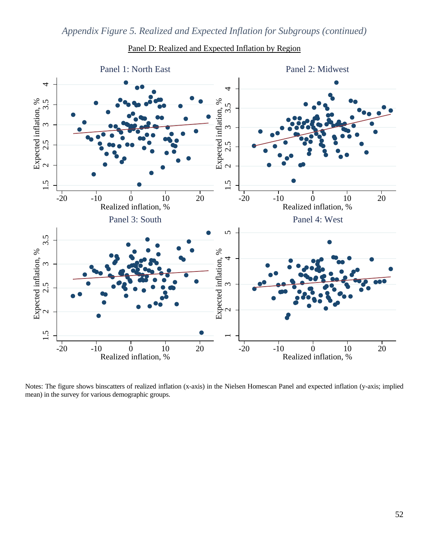

Panel D: Realized and Expected Inflation by Region

Notes: The figure shows binscatters of realized inflation (x-axis) in the Nielsen Homescan Panel and expected inflation (y-axis; implied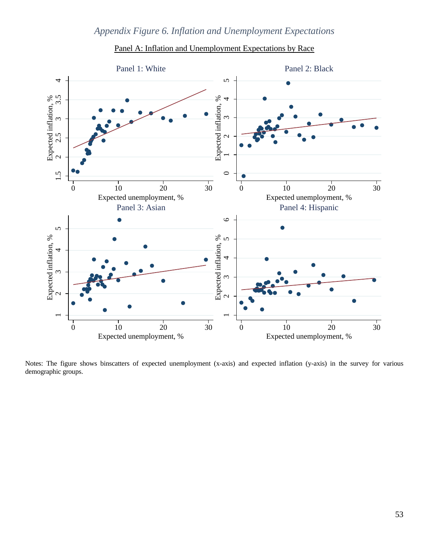<span id="page-55-1"></span><span id="page-55-0"></span>



Notes: The figure shows binscatters of expected unemployment (x-axis) and expected inflation (y-axis) in the survey for various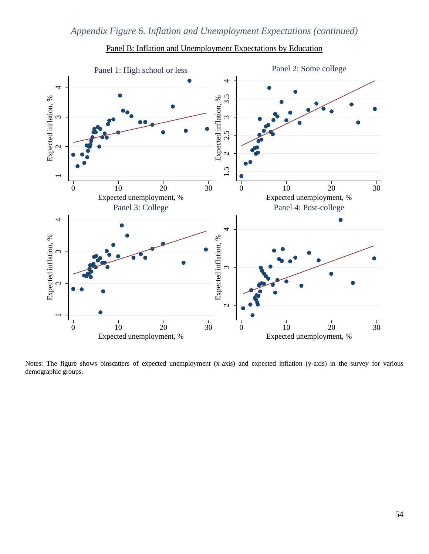



Notes: The figure shows binscatters of expected unemployment (x-axis) and expected inflation (y-axis) in the survey for various demographic groups.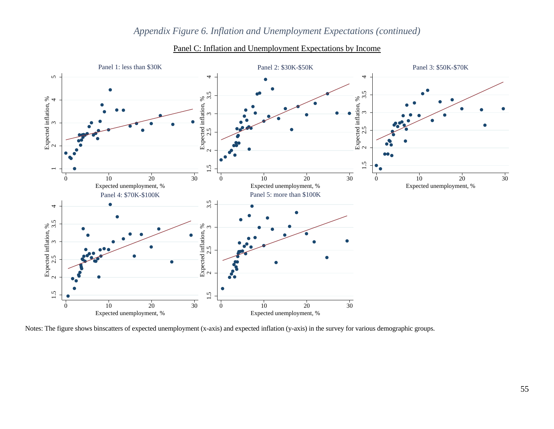

# *[Appendix Figure 6.](#page-55-1) Inflation and Unemployment Expectations (continued)*

Panel C: Inflation and Unemployment Expectations by Income

Notes: The figure shows binscatters of expected unemployment (x-axis) and expected inflation (y-axis) in the survey for various demographic groups.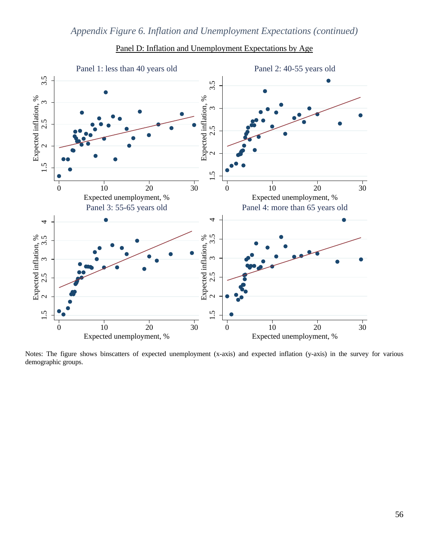

Panel D: Inflation and Unemployment Expectations by Age

Notes: The figure shows binscatters of expected unemployment (x-axis) and expected inflation (y-axis) in the survey for various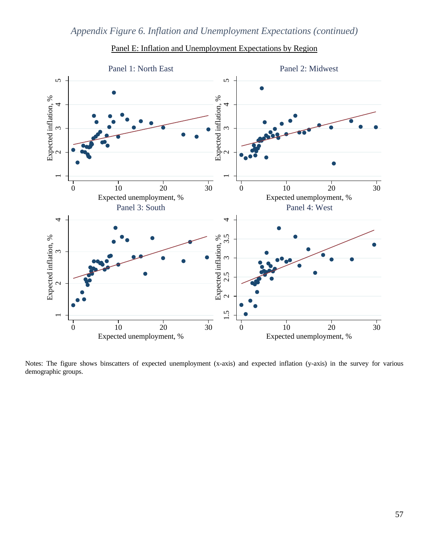



Notes: The figure shows binscatters of expected unemployment (x-axis) and expected inflation (y-axis) in the survey for various demographic groups.